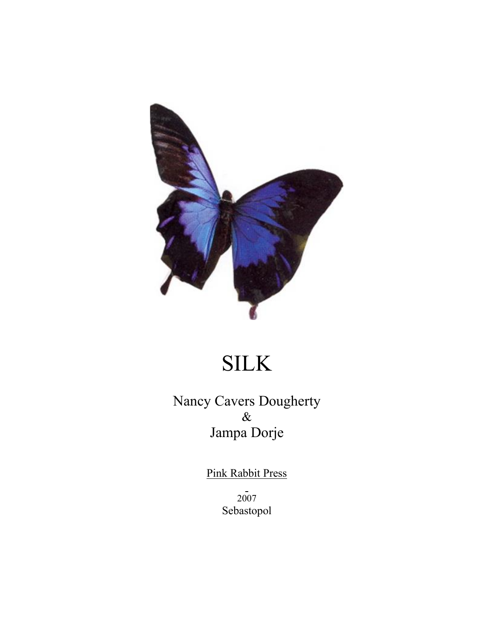

# SILK

Nancy Cavers Dougherty  $\&$ Jampa Dorje

Pink Rabbit Press

2007 Sebastopol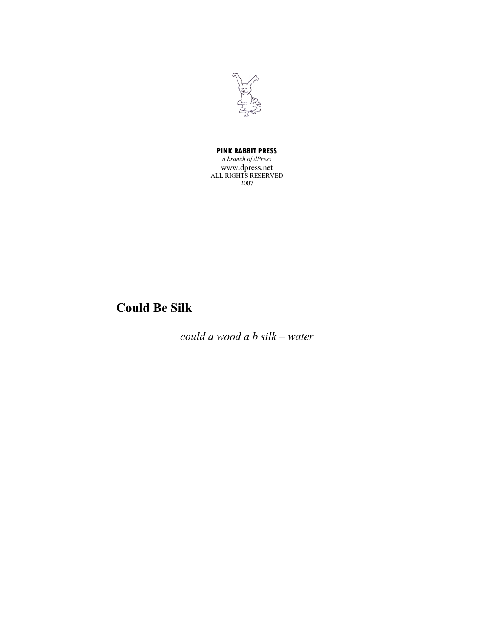

#### **PINK RABBIT PRESS**

*a branch of dPress* www.dpress.net ALL RIGHTS RESERVED 2007

## **Could Be Silk**

*could a wood a b silk – water*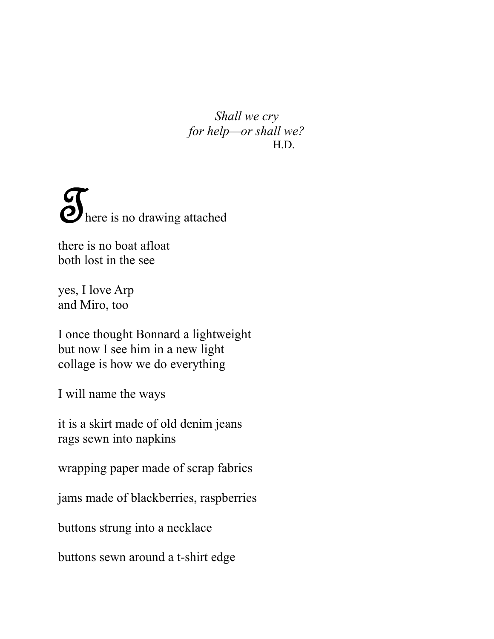*Shall we cry for help—or shall we?* H.D.

**T**<br>here is no drawing attached

there is no boat afloat both lost in the see

yes, I love Arp and Miro, too

I once thought Bonnard a lightweight but now I see him in a new light collage is how we do everything

I will name the ways

it is a skirt made of old denim jeans rags sewn into napkins

wrapping paper made of scrap fabrics

jams made of blackberries, raspberries

buttons strung into a necklace

buttons sewn around a t-shirt edge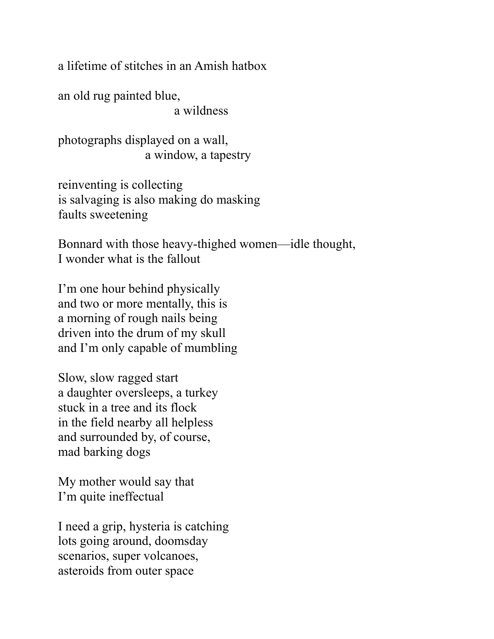a lifetime of stitches in an Amish hatbox

an old rug painted blue, a wildness

photographs displayed on a wall, a window, a tapestry

reinventing is collecting is salvaging is also making do masking faults sweetening

Bonnard with those heavy-thighed women—idle thought, I wonder what is the fallout

I'm one hour behind physically and two or more mentally, this is a morning of rough nails being driven into the drum of my skull and I'm only capable of mumbling

Slow, slow ragged start a daughter oversleeps, a turkey stuck in a tree and its flock in the field nearby all helpless and surrounded by, of course, mad barking dogs

My mother would say that I'm quite ineffectual

I need a grip, hysteria is catching lots going around, doomsday scenarios, super volcanoes, asteroids from outer space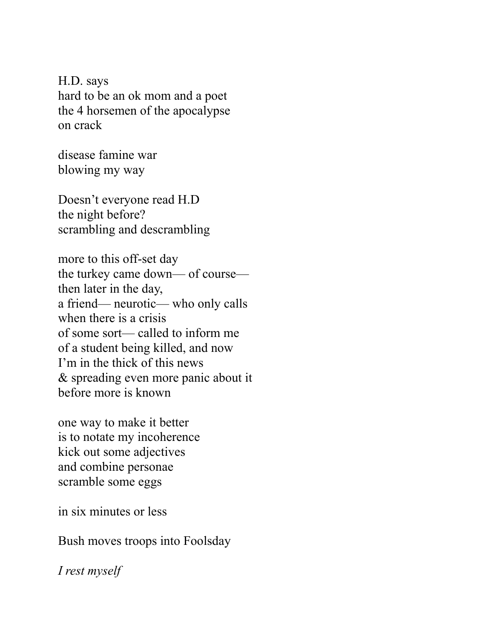H.D. says hard to be an ok mom and a poet the 4 horsemen of the apocalypse on crack

disease famine war blowing my way

Doesn't everyone read H.D the night before? scrambling and descrambling

more to this off-set day the turkey came down— of course then later in the day, a friend— neurotic— who only calls when there is a crisis of some sort— called to inform me of a student being killed, and now I'm in the thick of this news & spreading even more panic about it before more is known

one way to make it better is to notate my incoherence kick out some adjectives and combine personae scramble some eggs

in six minutes or less

Bush moves troops into Foolsday

*I rest myself*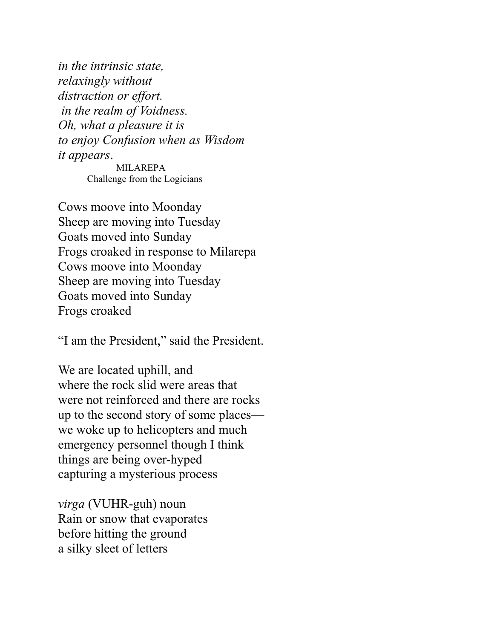*in the intrinsic state, relaxingly without distraction or effort. in the realm of Voidness. Oh, what a pleasure it is to enjoy Confusion when as Wisdom it appears*.

MILAREPA Challenge from the Logicians

Cows moove into Moonday Sheep are moving into Tuesday Goats moved into Sunday Frogs croaked in response to Milarepa Cows moove into Moonday Sheep are moving into Tuesday Goats moved into Sunday Frogs croaked

"I am the President," said the President.

We are located uphill, and where the rock slid were areas that were not reinforced and there are rocks up to the second story of some places we woke up to helicopters and much emergency personnel though I think things are being over-hyped capturing a mysterious process

*virga* (VUHR-guh) noun Rain or snow that evaporates before hitting the ground a silky sleet of letters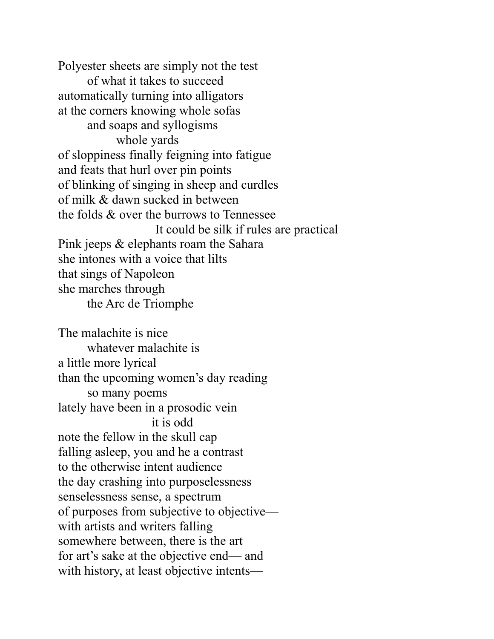Polyester sheets are simply not the test of what it takes to succeed automatically turning into alligators at the corners knowing whole sofas and soaps and syllogisms whole yards of sloppiness finally feigning into fatigue and feats that hurl over pin points of blinking of singing in sheep and curdles of milk & dawn sucked in between the folds & over the burrows to Tennessee It could be silk if rules are practical Pink jeeps & elephants roam the Sahara she intones with a voice that lilts that sings of Napoleon she marches through the Arc de Triomphe

The malachite is nice whatever malachite is a little more lyrical than the upcoming women's day reading so many poems lately have been in a prosodic vein it is odd note the fellow in the skull cap falling asleep, you and he a contrast to the otherwise intent audience the day crashing into purposelessness senselessness sense, a spectrum of purposes from subjective to objective with artists and writers falling somewhere between, there is the art for art's sake at the objective end— and with history, at least objective intents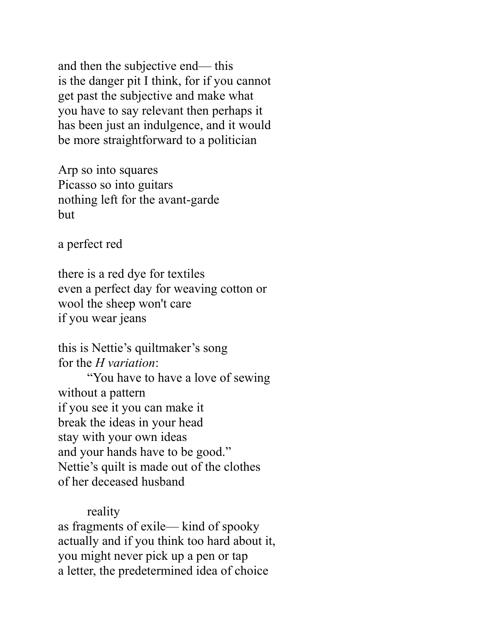and then the subjective end— this is the danger pit I think, for if you cannot get past the subjective and make what you have to say relevant then perhaps it has been just an indulgence, and it would be more straightforward to a politician

Arp so into squares Picasso so into guitars nothing left for the avant-garde but

a perfect red

there is a red dye for textiles even a perfect day for weaving cotton or wool the sheep won't care if you wear jeans

this is Nettie's quiltmaker's song for the *H variation*:

"You have to have a love of sewing without a pattern if you see it you can make it break the ideas in your head stay with your own ideas and your hands have to be good." Nettie's quilt is made out of the clothes of her deceased husband

reality

as fragments of exile— kind of spooky actually and if you think too hard about it, you might never pick up a pen or tap a letter, the predetermined idea of choice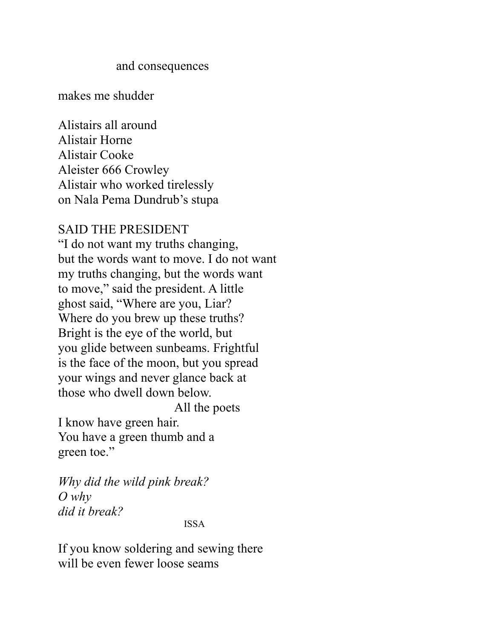#### and consequences

makes me shudder

Alistairs all around Alistair Horne Alistair Cooke Aleister 666 Crowley Alistair who worked tirelessly on Nala Pema Dundrub's stupa

### SAID THE PRESIDENT

"I do not want my truths changing, but the words want to move. I do not want my truths changing, but the words want to move," said the president. A little ghost said, "Where are you, Liar? Where do you brew up these truths? Bright is the eye of the world, but you glide between sunbeams. Frightful is the face of the moon, but you spread your wings and never glance back at those who dwell down below. All the poets

I know have green hair. You have a green thumb and a green toe."

*Why did the wild pink break? O why did it break?*

ISSA

If you know soldering and sewing there will be even fewer loose seams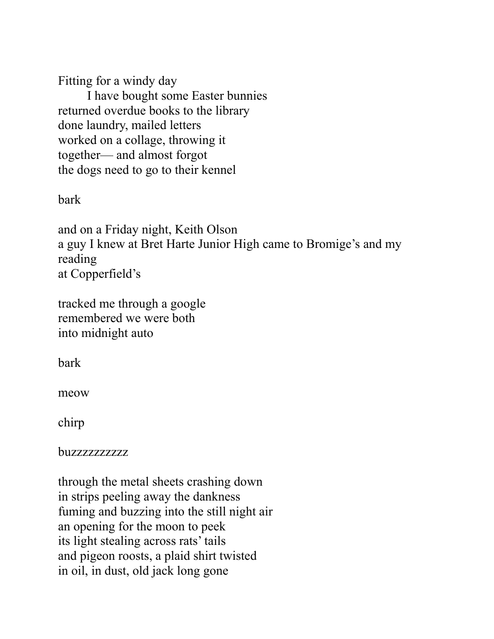Fitting for a windy day I have bought some Easter bunnies returned overdue books to the library done laundry, mailed letters worked on a collage, throwing it together— and almost forgot the dogs need to go to their kennel

bark

and on a Friday night, Keith Olson a guy I knew at Bret Harte Junior High came to Bromige's and my reading at Copperfield's

tracked me through a google remembered we were both into midnight auto

bark

meow

chirp

buzzzzzzzzzz

through the metal sheets crashing down in strips peeling away the dankness fuming and buzzing into the still night air an opening for the moon to peek its light stealing across rats' tails and pigeon roosts, a plaid shirt twisted in oil, in dust, old jack long gone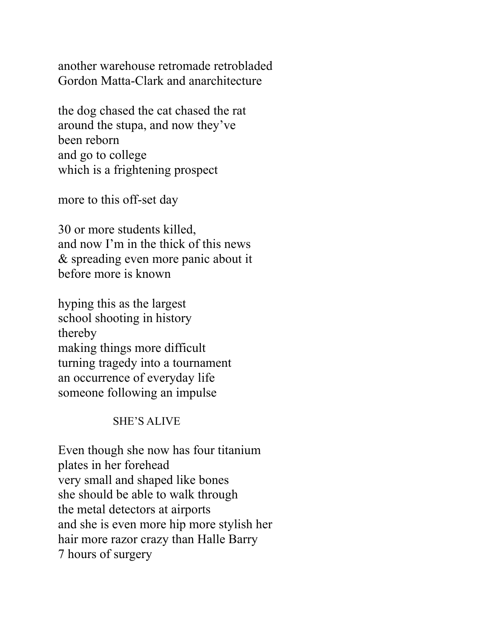another warehouse retromade retrobladed Gordon Matta-Clark and anarchitecture

the dog chased the cat chased the rat around the stupa, and now they've been reborn and go to college which is a frightening prospect

more to this off-set day

30 or more students killed, and now I'm in the thick of this news & spreading even more panic about it before more is known

hyping this as the largest school shooting in history thereby making things more difficult turning tragedy into a tournament an occurrence of everyday life someone following an impulse

### SHE'S ALIVE

Even though she now has four titanium plates in her forehead very small and shaped like bones she should be able to walk through the metal detectors at airports and she is even more hip more stylish her hair more razor crazy than Halle Barry 7 hours of surgery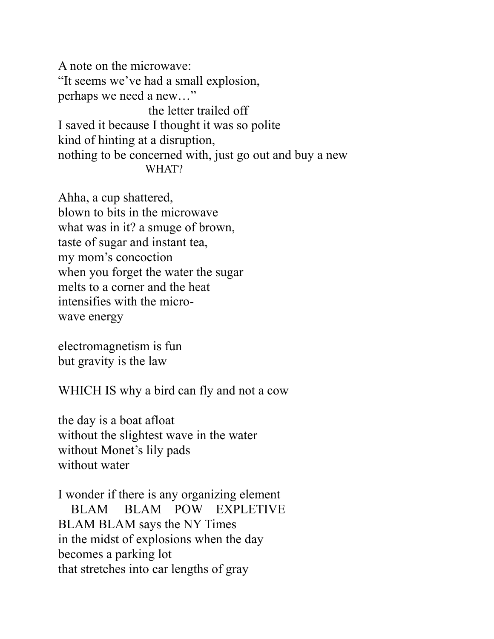A note on the microwave: "It seems we've had a small explosion, perhaps we need a new…" the letter trailed off I saved it because I thought it was so polite kind of hinting at a disruption, nothing to be concerned with, just go out and buy a new WHAT?

Ahha, a cup shattered, blown to bits in the microwave what was in it? a smuge of brown, taste of sugar and instant tea, my mom's concoction when you forget the water the sugar melts to a corner and the heat intensifies with the microwave energy

electromagnetism is fun but gravity is the law

WHICH IS why a bird can fly and not a cow

the day is a boat afloat without the slightest wave in the water without Monet's lily pads without water

I wonder if there is any organizing element BLAM BLAM POW EXPLETIVE BLAM BLAM says the NY Times in the midst of explosions when the day becomes a parking lot that stretches into car lengths of gray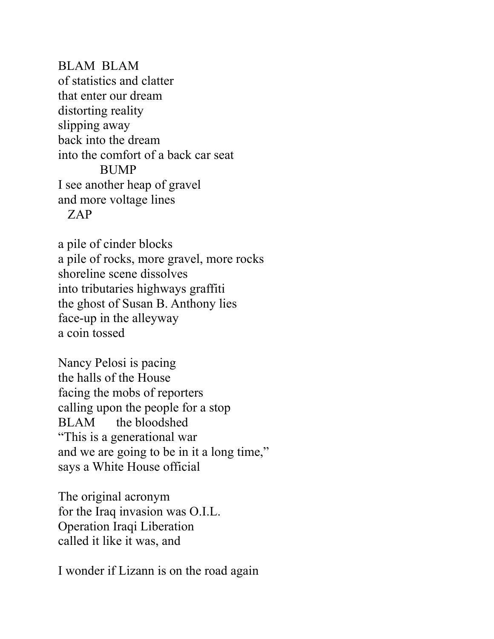BLAM BLAM of statistics and clatter that enter our dream distorting reality slipping away back into the dream into the comfort of a back car seat BUMP I see another heap of gravel and more voltage lines ZAP

a pile of cinder blocks a pile of rocks, more gravel, more rocks shoreline scene dissolves into tributaries highways graffiti the ghost of Susan B. Anthony lies face-up in the alleyway a coin tossed

Nancy Pelosi is pacing the halls of the House facing the mobs of reporters calling upon the people for a stop BLAM the bloodshed "This is a generational war and we are going to be in it a long time," says a White House official

The original acronym for the Iraq invasion was O.I.L. Operation Iraqi Liberation called it like it was, and

I wonder if Lizann is on the road again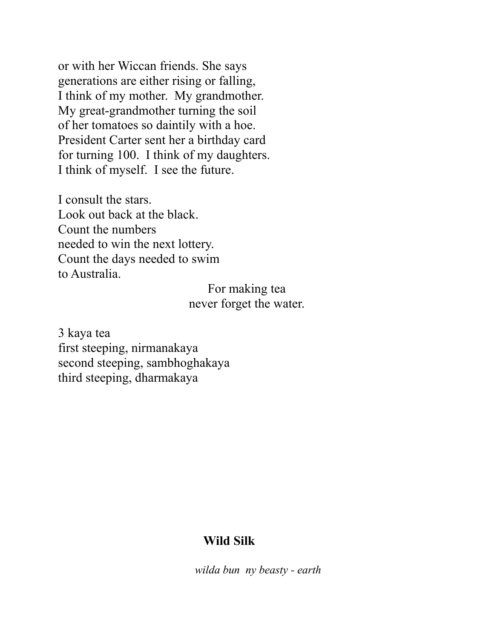or with her Wiccan friends. She says generations are either rising or falling, I think of my mother. My grandmother. My great-grandmother turning the soil of her tomatoes so daintily with a hoe. President Carter sent her a birthday card for turning 100. I think of my daughters. I think of myself. I see the future.

I consult the stars. Look out back at the black. Count the numbers needed to win the next lottery. Count the days needed to swim to Australia.

> For making tea never forget the water.

3 kaya tea first steeping, nirmanakaya second steeping, sambhoghakaya third steeping, dharmakaya

### **Wild Silk**

 *wilda bun ny beasty - earth*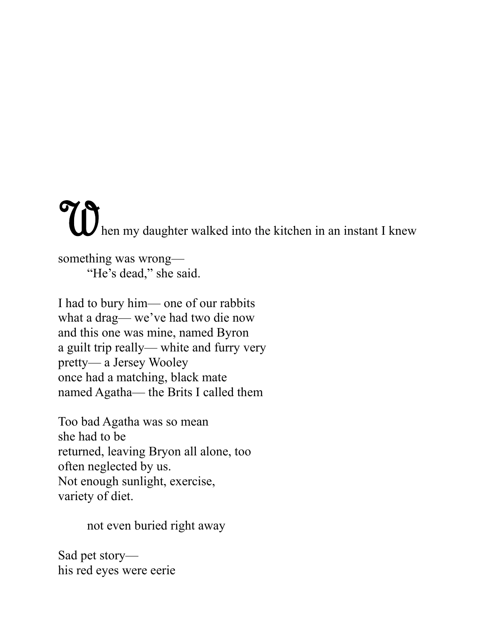Then my daughter walked into the kitchen in an instant I knew something was wrong—

"He's dead," she said.

I had to bury him— one of our rabbits what a drag— we've had two die now and this one was mine, named Byron a guilt trip really— white and furry very pretty— a Jersey Wooley once had a matching, black mate named Agatha— the Brits I called them

Too bad Agatha was so mean she had to be returned, leaving Bryon all alone, too often neglected by us. Not enough sunlight, exercise, variety of diet.

not even buried right away

Sad pet story his red eyes were eerie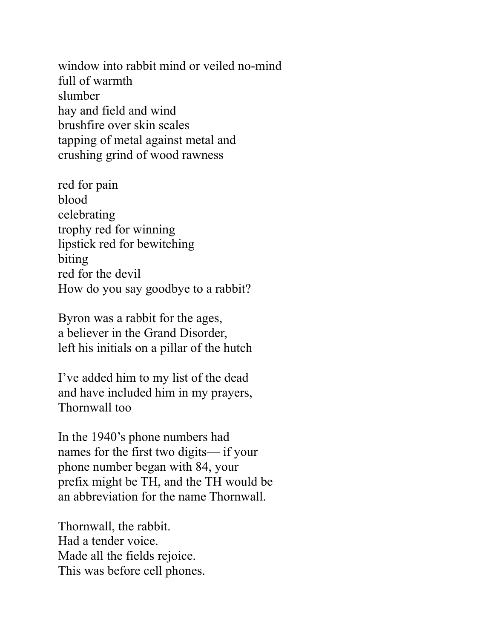window into rabbit mind or veiled no-mind full of warmth slumber hay and field and wind brushfire over skin scales tapping of metal against metal and crushing grind of wood rawness

red for pain blood celebrating trophy red for winning lipstick red for bewitching biting red for the devil How do you say goodbye to a rabbit?

Byron was a rabbit for the ages, a believer in the Grand Disorder, left his initials on a pillar of the hutch

I've added him to my list of the dead and have included him in my prayers, Thornwall too

In the 1940's phone numbers had names for the first two digits— if your phone number began with 84, your prefix might be TH, and the TH would be an abbreviation for the name Thornwall.

Thornwall, the rabbit. Had a tender voice. Made all the fields rejoice. This was before cell phones.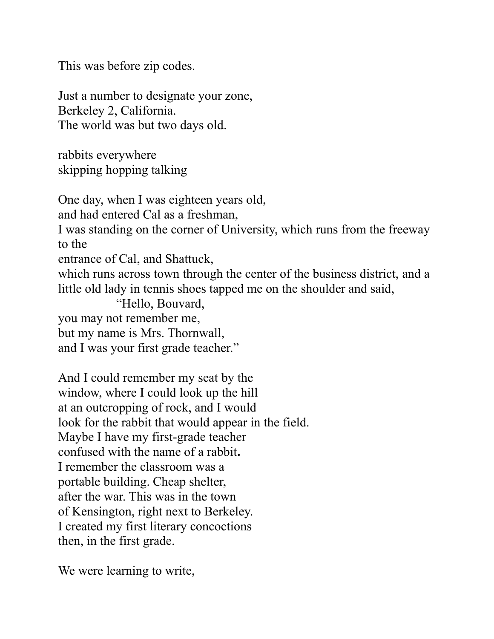This was before zip codes.

Just a number to designate your zone, Berkeley 2, California. The world was but two days old.

rabbits everywhere skipping hopping talking

One day, when I was eighteen years old, and had entered Cal as a freshman, I was standing on the corner of University, which runs from the freeway to the entrance of Cal, and Shattuck, which runs across town through the center of the business district, and a little old lady in tennis shoes tapped me on the shoulder and said, "Hello, Bouvard, you may not remember me, but my name is Mrs. Thornwall,

and I was your first grade teacher."

And I could remember my seat by the window, where I could look up the hill at an outcropping of rock, and I would look for the rabbit that would appear in the field. Maybe I have my first-grade teacher confused with the name of a rabbit**.**  I remember the classroom was a portable building. Cheap shelter, after the war. This was in the town of Kensington, right next to Berkeley. I created my first literary concoctions then, in the first grade.

We were learning to write,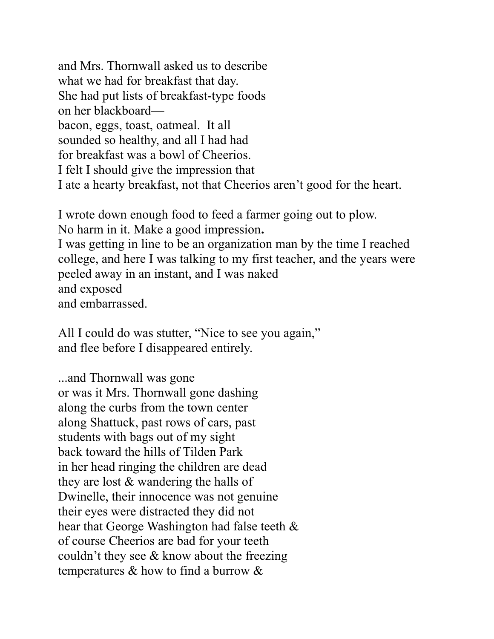and Mrs. Thornwall asked us to describe what we had for breakfast that day. She had put lists of breakfast-type foods on her blackboard bacon, eggs, toast, oatmeal. It all sounded so healthy, and all I had had for breakfast was a bowl of Cheerios. I felt I should give the impression that I ate a hearty breakfast, not that Cheerios aren't good for the heart.

I wrote down enough food to feed a farmer going out to plow. No harm in it. Make a good impression**.**  I was getting in line to be an organization man by the time I reached college, and here I was talking to my first teacher, and the years were peeled away in an instant, and I was naked and exposed and embarrassed.

All I could do was stutter, "Nice to see you again," and flee before I disappeared entirely.

...and Thornwall was gone or was it Mrs. Thornwall gone dashing along the curbs from the town center along Shattuck, past rows of cars, past students with bags out of my sight back toward the hills of Tilden Park in her head ringing the children are dead they are lost & wandering the halls of Dwinelle, their innocence was not genuine their eyes were distracted they did not hear that George Washington had false teeth & of course Cheerios are bad for your teeth couldn't they see & know about the freezing temperatures & how to find a burrow &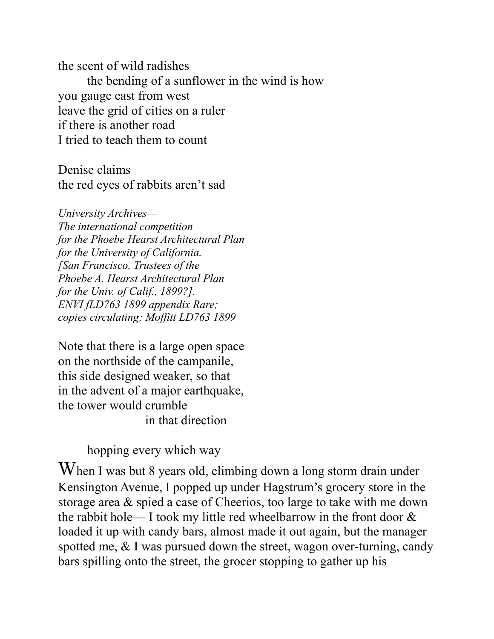the scent of wild radishes the bending of a sunflower in the wind is how you gauge east from west leave the grid of cities on a ruler if there is another road I tried to teach them to count

Denise claims the red eyes of rabbits aren't sad

*University Archives— The international competition for the Phoebe Hearst Architectural Plan for the University of California. [San Francisco, Trustees of the Phoebe A. Hearst Architectural Plan for the Univ. of Calif., 1899?]. ENVI fLD763 1899 appendix Rare; copies circulating; Moffitt LD763 1899*

Note that there is a large open space on the northside of the campanile, this side designed weaker, so that in the advent of a major earthquake, the tower would crumble in that direction

hopping every which way

When I was but 8 years old, climbing down a long storm drain under Kensington Avenue, I popped up under Hagstrum's grocery store in the storage area & spied a case of Cheerios, too large to take with me down the rabbit hole— I took my little red wheelbarrow in the front door & loaded it up with candy bars, almost made it out again, but the manager spotted me, & I was pursued down the street, wagon over-turning, candy bars spilling onto the street, the grocer stopping to gather up his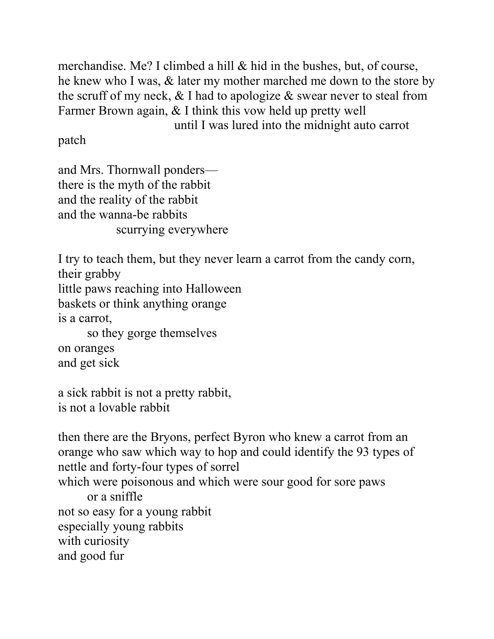merchandise. Me? I climbed a hill & hid in the bushes, but, of course, he knew who I was, & later my mother marched me down to the store by the scruff of my neck,  $&$  I had to apologize  $&$  swear never to steal from Farmer Brown again, & I think this vow held up pretty well until I was lured into the midnight auto carrot

patch

and Mrs. Thornwall ponders there is the myth of the rabbit and the reality of the rabbit and the wanna-be rabbits scurrying everywhere

I try to teach them, but they never learn a carrot from the candy corn, their grabby little paws reaching into Halloween baskets or think anything orange is a carrot, so they gorge themselves on oranges and get sick a sick rabbit is not a pretty rabbit,

is not a lovable rabbit

then there are the Bryons, perfect Byron who knew a carrot from an orange who saw which way to hop and could identify the 93 types of nettle and forty-four types of sorrel which were poisonous and which were sour good for sore paws or a sniffle not so easy for a young rabbit especially young rabbits with curiosity and good fur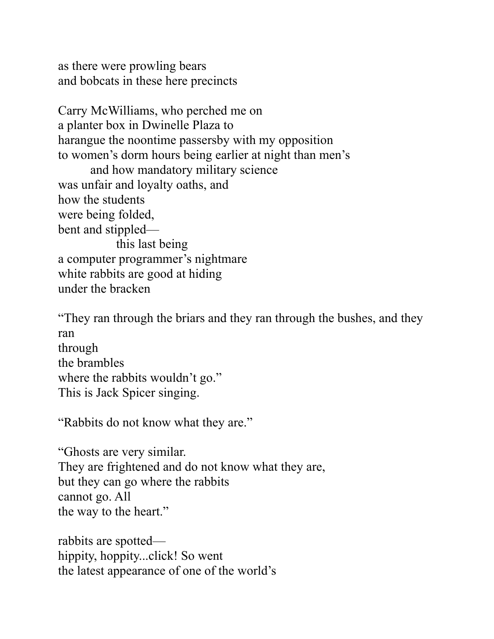as there were prowling bears and bobcats in these here precincts

Carry McWilliams, who perched me on a planter box in Dwinelle Plaza to harangue the noontime passersby with my opposition to women's dorm hours being earlier at night than men's and how mandatory military science was unfair and loyalty oaths, and how the students were being folded, bent and stippled this last being a computer programmer's nightmare white rabbits are good at hiding under the bracken

"They ran through the briars and they ran through the bushes, and they ran through the brambles where the rabbits wouldn't go." This is Jack Spicer singing.

"Rabbits do not know what they are."

"Ghosts are very similar. They are frightened and do not know what they are, but they can go where the rabbits cannot go. All the way to the heart."

rabbits are spotted hippity, hoppity...click! So went the latest appearance of one of the world's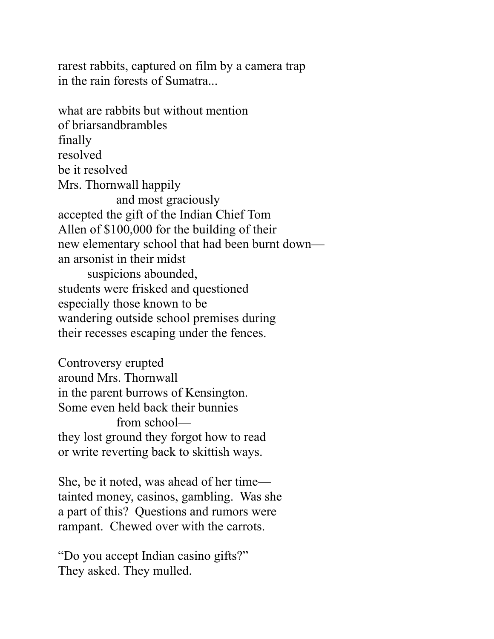rarest rabbits, captured on film by a camera trap in the rain forests of Sumatra...

what are rabbits but without mention of briarsandbrambles finally resolved be it resolved Mrs. Thornwall happily and most graciously accepted the gift of the Indian Chief Tom Allen of \$100,000 for the building of their new elementary school that had been burnt down an arsonist in their midst suspicions abounded, students were frisked and questioned especially those known to be wandering outside school premises during their recesses escaping under the fences.

Controversy erupted around Mrs. Thornwall in the parent burrows of Kensington. Some even held back their bunnies from school they lost ground they forgot how to read or write reverting back to skittish ways.

She, be it noted, was ahead of her time tainted money, casinos, gambling. Was she a part of this? Questions and rumors were rampant. Chewed over with the carrots.

"Do you accept Indian casino gifts?" They asked. They mulled.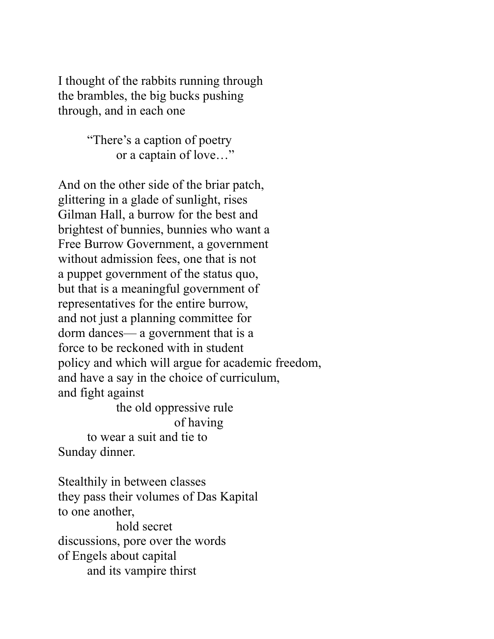I thought of the rabbits running through the brambles, the big bucks pushing through, and in each one

> "There's a caption of poetry or a captain of love…"

And on the other side of the briar patch, glittering in a glade of sunlight, rises Gilman Hall, a burrow for the best and brightest of bunnies, bunnies who want a Free Burrow Government, a government without admission fees, one that is not a puppet government of the status quo, but that is a meaningful government of representatives for the entire burrow, and not just a planning committee for dorm dances— a government that is a force to be reckoned with in student policy and which will argue for academic freedom, and have a say in the choice of curriculum, and fight against the old oppressive rule of having

to wear a suit and tie to Sunday dinner.

Stealthily in between classes they pass their volumes of Das Kapital to one another, hold secret discussions, pore over the words of Engels about capital and its vampire thirst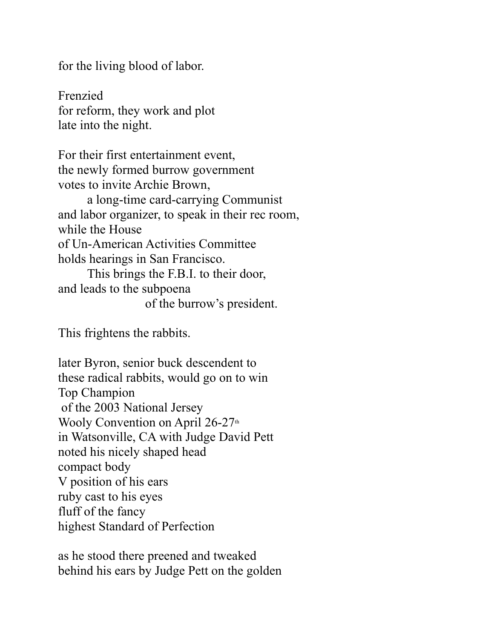for the living blood of labor.

Frenzied for reform, they work and plot late into the night.

For their first entertainment event, the newly formed burrow government votes to invite Archie Brown,

a long-time card-carrying Communist and labor organizer, to speak in their rec room, while the House of Un-American Activities Committee holds hearings in San Francisco.

This brings the F.B.I. to their door, and leads to the subpoena of the burrow's president.

This frightens the rabbits.

later Byron, senior buck descendent to these radical rabbits, would go on to win Top Champion of the 2003 National Jersey Wooly Convention on April  $26-27$ <sup>th</sup> in Watsonville, CA with Judge David Pett noted his nicely shaped head compact body V position of his ears ruby cast to his eyes fluff of the fancy highest Standard of Perfection

as he stood there preened and tweaked behind his ears by Judge Pett on the golden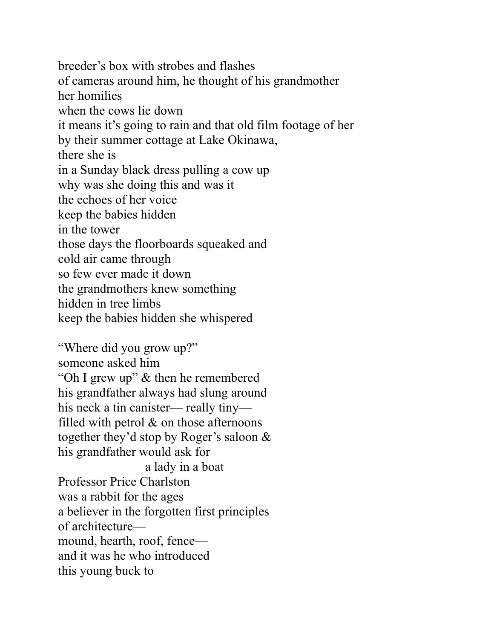breeder's box with strobes and flashes of cameras around him, he thought of his grandmother her homilies when the cows lie down it means it's going to rain and that old film footage of her by their summer cottage at Lake Okinawa, there she is in a Sunday black dress pulling a cow up why was she doing this and was it the echoes of her voice keep the babies hidden in the tower those days the floorboards squeaked and cold air came through so few ever made it down the grandmothers knew something hidden in tree limbs keep the babies hidden she whispered

"Where did you grow up?" someone asked him "Oh I grew up" & then he remembered his grandfather always had slung around his neck a tin canister— really tiny filled with petrol & on those afternoons together they'd stop by Roger's saloon & his grandfather would ask for a lady in a boat Professor Price Charlston was a rabbit for the ages a believer in the forgotten first principles of architecture mound, hearth, roof, fence and it was he who introduced this young buck to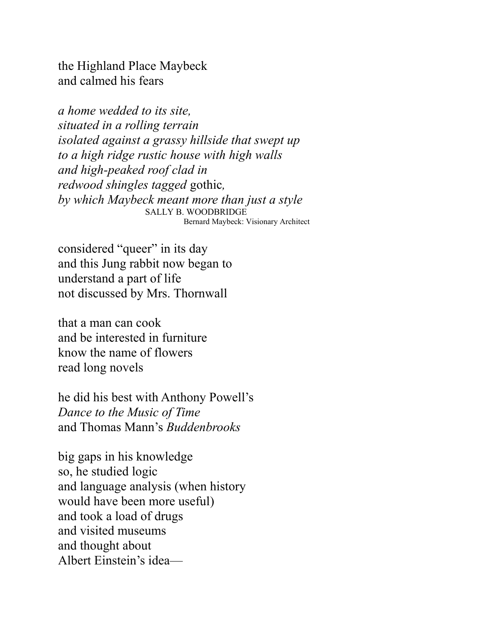the Highland Place Maybeck and calmed his fears

*a home wedded to its site, situated in a rolling terrain isolated against a grassy hillside that swept up to a high ridge rustic house with high walls and high-peaked roof clad in redwood shingles tagged* gothic*, by which Maybeck meant more than just a style* SALLY B. WOODBRIDGE Bernard Maybeck: Visionary Architect

considered "queer" in its day and this Jung rabbit now began to understand a part of life not discussed by Mrs. Thornwall

that a man can cook and be interested in furniture know the name of flowers read long novels

he did his best with Anthony Powell's *Dance to the Music of Time* and Thomas Mann's *Buddenbrooks*

big gaps in his knowledge so, he studied logic and language analysis (when history would have been more useful) and took a load of drugs and visited museums and thought about Albert Einstein's idea—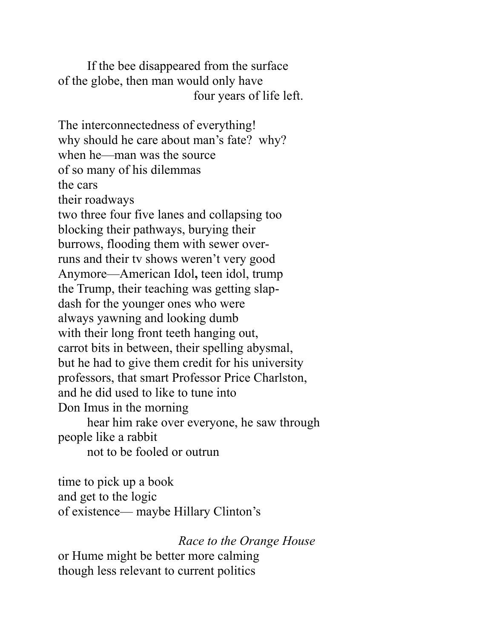If the bee disappeared from the surface of the globe, then man would only have four years of life left.

The interconnectedness of everything! why should he care about man's fate? why? when he—man was the source of so many of his dilemmas the cars their roadways two three four five lanes and collapsing too blocking their pathways, burying their burrows, flooding them with sewer overruns and their tv shows weren't very good Anymore—American Idol**,** teen idol, trump the Trump, their teaching was getting slapdash for the younger ones who were always yawning and looking dumb with their long front teeth hanging out, carrot bits in between, their spelling abysmal, but he had to give them credit for his university professors, that smart Professor Price Charlston, and he did used to like to tune into Don Imus in the morning

hear him rake over everyone, he saw through people like a rabbit

not to be fooled or outrun

time to pick up a book and get to the logic of existence— maybe Hillary Clinton's

*Race to the Orange House*

or Hume might be better more calming though less relevant to current politics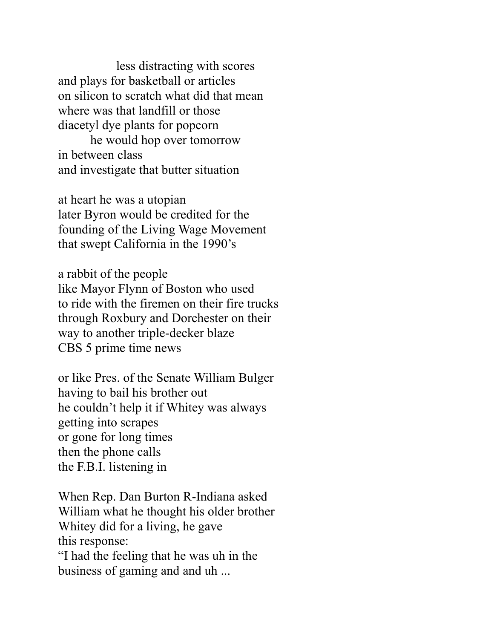less distracting with scores and plays for basketball or articles on silicon to scratch what did that mean where was that landfill or those diacetyl dye plants for popcorn

he would hop over tomorrow in between class and investigate that butter situation

at heart he was a utopian later Byron would be credited for the founding of the Living Wage Movement that swept California in the 1990's

a rabbit of the people like Mayor Flynn of Boston who used to ride with the firemen on their fire trucks through Roxbury and Dorchester on their way to another triple-decker blaze CBS 5 prime time news

or like Pres. of the Senate William Bulger having to bail his brother out he couldn't help it if Whitey was always getting into scrapes or gone for long times then the phone calls the F.B.I. listening in

When Rep. Dan Burton R-Indiana asked William what he thought his older brother Whitey did for a living, he gave this response: "I had the feeling that he was uh in the business of gaming and and uh ...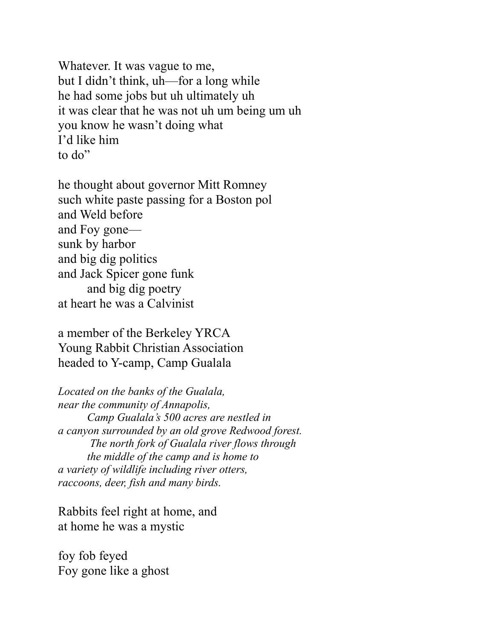Whatever. It was vague to me, but I didn't think, uh—for a long while he had some jobs but uh ultimately uh it was clear that he was not uh um being um uh you know he wasn't doing what I'd like him to do"

he thought about governor Mitt Romney such white paste passing for a Boston pol and Weld before and Foy gone sunk by harbor and big dig politics and Jack Spicer gone funk and big dig poetry at heart he was a Calvinist

a member of the Berkeley YRCA Young Rabbit Christian Association headed to Y-camp, Camp Gualala

*Located on the banks of the Gualala, near the community of Annapolis, Camp Gualala's 500 acres are nestled in a canyon surrounded by an old grove Redwood forest. The north fork of Gualala river flows through the middle of the camp and is home to a variety of wildlife including river otters, raccoons, deer, fish and many birds.*

Rabbits feel right at home, and at home he was a mystic

foy fob feyed Foy gone like a ghost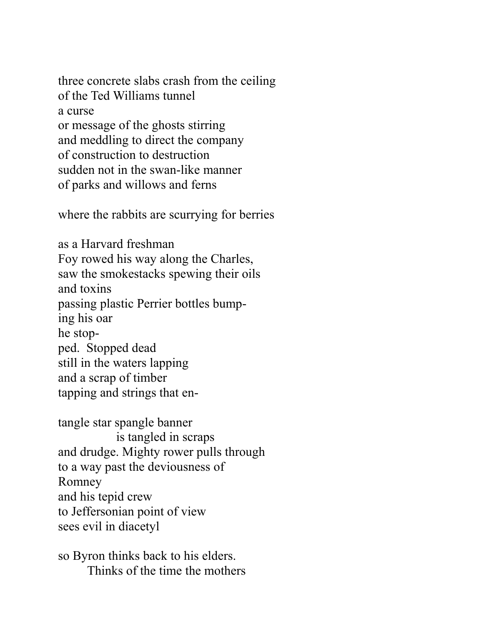three concrete slabs crash from the ceiling of the Ted Williams tunnel a curse or message of the ghosts stirring and meddling to direct the company of construction to destruction sudden not in the swan-like manner of parks and willows and ferns

where the rabbits are scurrying for berries

as a Harvard freshman Foy rowed his way along the Charles, saw the smokestacks spewing their oils and toxins passing plastic Perrier bottles bumping his oar he stopped. Stopped dead still in the waters lapping and a scrap of timber tapping and strings that en-

tangle star spangle banner is tangled in scraps and drudge. Mighty rower pulls through to a way past the deviousness of Romney and his tepid crew to Jeffersonian point of view sees evil in diacetyl

so Byron thinks back to his elders. Thinks of the time the mothers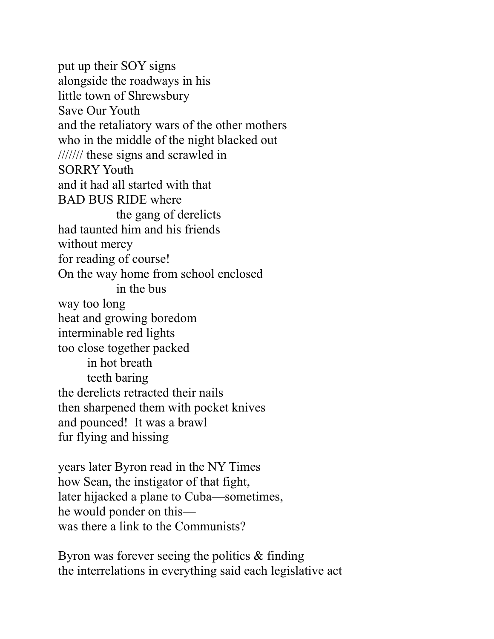put up their SOY signs alongside the roadways in his little town of Shrewsbury Save Our Youth and the retaliatory wars of the other mothers who in the middle of the night blacked out /////// these signs and scrawled in SORRY Youth and it had all started with that BAD BUS RIDE where the gang of derelicts had taunted him and his friends without mercy for reading of course! On the way home from school enclosed in the bus way too long heat and growing boredom interminable red lights too close together packed in hot breath teeth baring the derelicts retracted their nails then sharpened them with pocket knives and pounced! It was a brawl fur flying and hissing

years later Byron read in the NY Times how Sean, the instigator of that fight, later hijacked a plane to Cuba—sometimes, he would ponder on this was there a link to the Communists?

Byron was forever seeing the politics & finding the interrelations in everything said each legislative act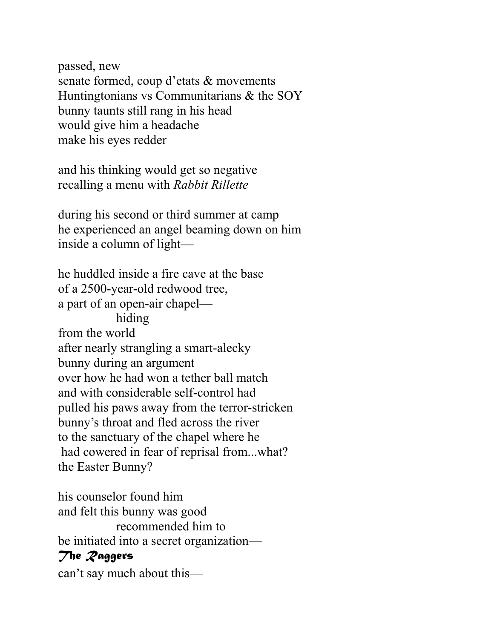passed, new senate formed, coup d'etats & movements Huntingtonians vs Communitarians & the SOY bunny taunts still rang in his head would give him a headache make his eyes redder

and his thinking would get so negative recalling a menu with *Rabbit Rillette* 

during his second or third summer at camp he experienced an angel beaming down on him inside a column of light—

he huddled inside a fire cave at the base of a 2500-year-old redwood tree, a part of an open-air chapel hiding from the world after nearly strangling a smart-alecky bunny during an argument over how he had won a tether ball match and with considerable self-control had pulled his paws away from the terror-stricken bunny's throat and fled across the river to the sanctuary of the chapel where he had cowered in fear of reprisal from...what? the Easter Bunny?

his counselor found him and felt this bunny was good recommended him to be initiated into a secret organization— *The Raggers* can't say much about this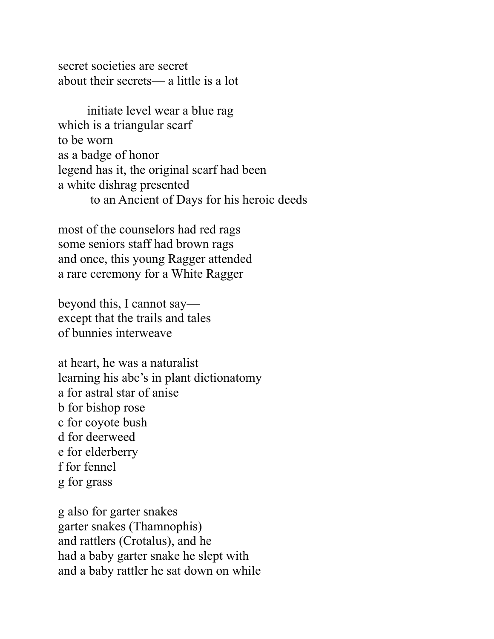secret societies are secret about their secrets— a little is a lot

initiate level wear a blue rag which is a triangular scarf to be worn as a badge of honor legend has it, the original scarf had been a white dishrag presented to an Ancient of Days for his heroic deeds

most of the counselors had red rags some seniors staff had brown rags and once, this young Ragger attended a rare ceremony for a White Ragger

beyond this, I cannot say except that the trails and tales of bunnies interweave

at heart, he was a naturalist learning his abc's in plant dictionatomy a for astral star of anise b for bishop rose c for coyote bush d for deerweed e for elderberry f for fennel g for grass

g also for garter snakes garter snakes (Thamnophis) and rattlers (Crotalus), and he had a baby garter snake he slept with and a baby rattler he sat down on while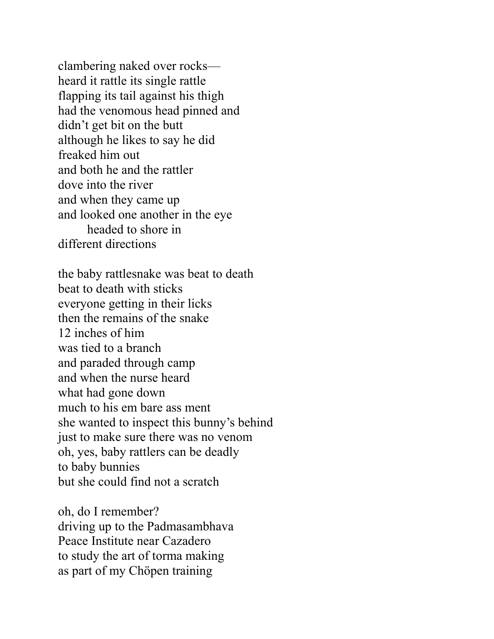clambering naked over rocks heard it rattle its single rattle flapping its tail against his thigh had the venomous head pinned and didn't get bit on the butt although he likes to say he did freaked him out and both he and the rattler dove into the river and when they came up and looked one another in the eye headed to shore in different directions

the baby rattlesnake was beat to death beat to death with sticks everyone getting in their licks then the remains of the snake 12 inches of him was tied to a branch and paraded through camp and when the nurse heard what had gone down much to his em bare ass ment she wanted to inspect this bunny's behind just to make sure there was no venom oh, yes, baby rattlers can be deadly to baby bunnies but she could find not a scratch

oh, do I remember? driving up to the Padmasambhava Peace Institute near Cazadero to study the art of torma making as part of my Chöpen training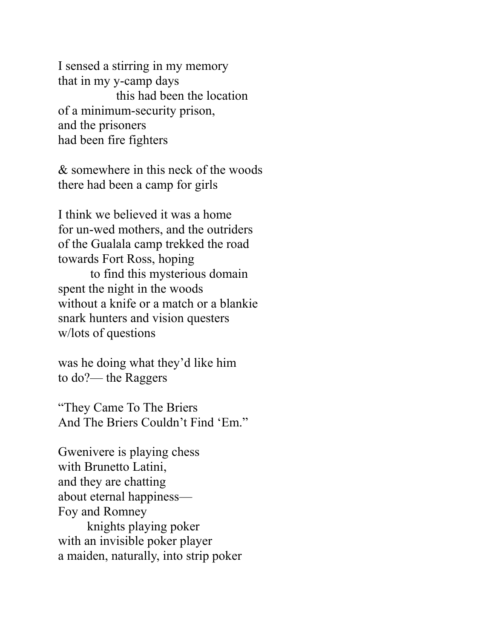I sensed a stirring in my memory that in my y-camp days this had been the location of a minimum-security prison, and the prisoners had been fire fighters

& somewhere in this neck of the woods there had been a camp for girls

I think we believed it was a home for un-wed mothers, and the outriders of the Gualala camp trekked the road towards Fort Ross, hoping

to find this mysterious domain spent the night in the woods without a knife or a match or a blankie snark hunters and vision questers w/lots of questions

was he doing what they'd like him to do?— the Raggers

"They Came To The Briers And The Briers Couldn't Find 'Em."

Gwenivere is playing chess with Brunetto Latini, and they are chatting about eternal happiness— Foy and Romney knights playing poker with an invisible poker player a maiden, naturally, into strip poker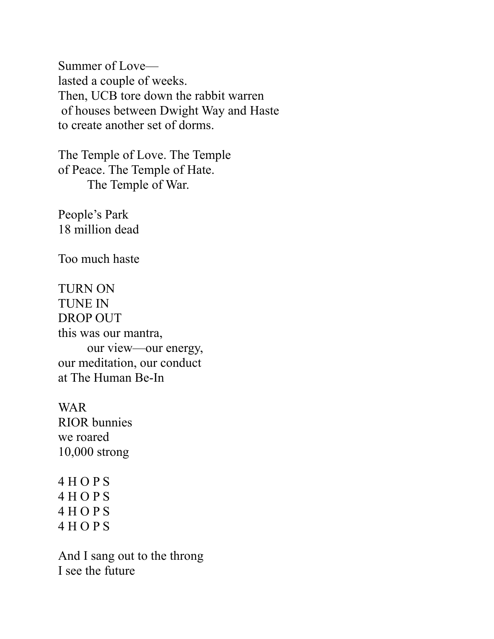Summer of Love lasted a couple of weeks. Then, UCB tore down the rabbit warren of houses between Dwight Way and Haste to create another set of dorms.

The Temple of Love. The Temple of Peace. The Temple of Hate. The Temple of War.

People's Park 18 million dead

Too much haste

TURN ON TUNE IN DROP OUT this was our mantra, our view—our energy, our meditation, our conduct at The Human Be-In

WAR RIOR bunnies we roared 10,000 strong

4 H O P S 4 H O P S 4 H O P S 4 H O P S

And I sang out to the throng I see the future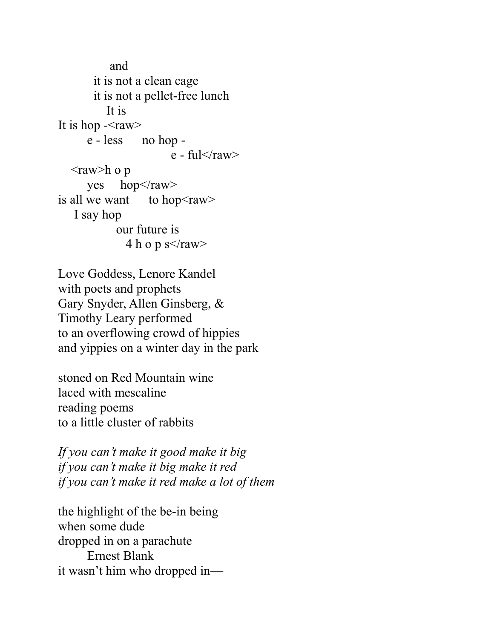and it is not a clean cage it is not a pellet-free lunch It is It is hop  $\leq$ raw $>$  e - less no hop e - ful $\langle$ raw $\rangle$  $\langle$ raw>h o p yes  $hop<$ /raw> is all we want to hop $\le$ raw $>$  I say hop our future is 4 h o p s $\langle$ raw $\rangle$ 

Love Goddess, Lenore Kandel with poets and prophets Gary Snyder, Allen Ginsberg, & Timothy Leary performed to an overflowing crowd of hippies and yippies on a winter day in the park

stoned on Red Mountain wine laced with mescaline reading poems to a little cluster of rabbits

*If you can't make it good make it big if you can't make it big make it red if you can't make it red make a lot of them*

the highlight of the be-in being when some dude dropped in on a parachute Ernest Blank it wasn't him who dropped in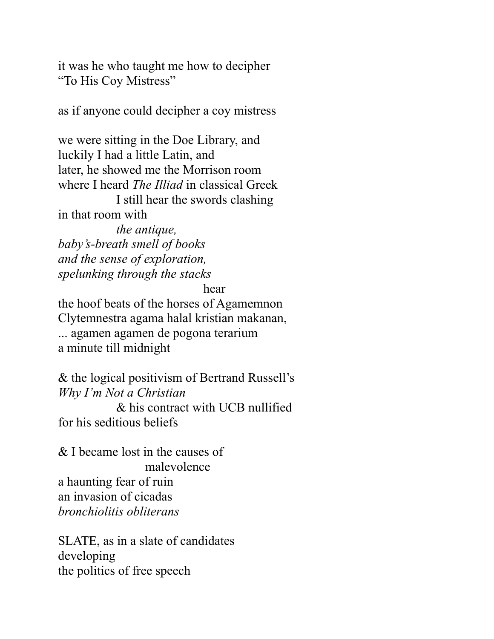it was he who taught me how to decipher "To His Coy Mistress"

as if anyone could decipher a coy mistress

we were sitting in the Doe Library, and luckily I had a little Latin, and later, he showed me the Morrison room where I heard *The Illiad* in classical Greek I still hear the swords clashing in that room with

*the antique, baby's-breath smell of books and the sense of exploration, spelunking through the stacks*

hear

the hoof beats of the horses of Agamemnon Clytemnestra agama halal kristian makanan, ... agamen agamen de pogona terarium a minute till midnight

& the logical positivism of Bertrand Russell's *Why I'm Not a Christian* 

& his contract with UCB nullified for his seditious beliefs

& I became lost in the causes of malevolence a haunting fear of ruin an invasion of cicadas *bronchiolitis obliterans*

SLATE, as in a slate of candidates developing the politics of free speech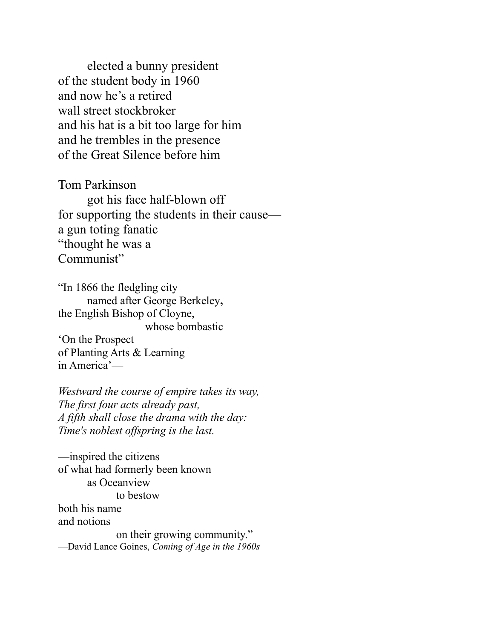elected a bunny president of the student body in 1960 and now he's a retired wall street stockbroker and his hat is a bit too large for him and he trembles in the presence of the Great Silence before him

Tom Parkinson

got his face half-blown off for supporting the students in their cause a gun toting fanatic "thought he was a Communist"

"In 1866 the fledgling city named after George Berkeley**,**  the English Bishop of Cloyne, whose bombastic 'On the Prospect of Planting Arts & Learning in America'—

*Westward the course of empire takes its way, The first four acts already past, A fifth shall close the drama with the day: Time's noblest offspring is the last.*

—inspired the citizens of what had formerly been known as Oceanview to bestow both his name and notions on their growing community." —David Lance Goines, *Coming of Age in the 1960s*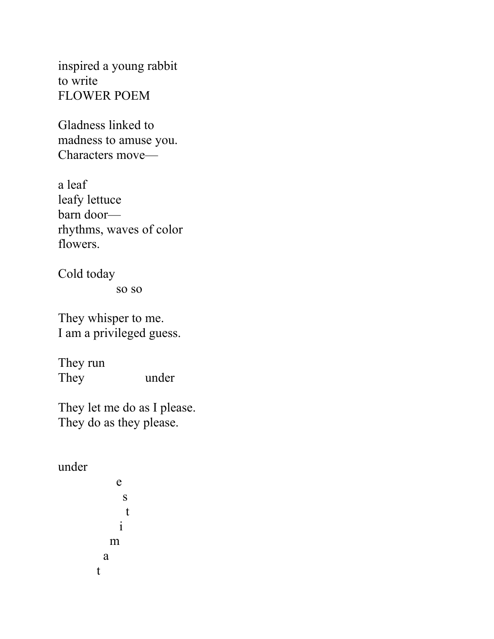inspired a young rabbit to write FLOWER POEM

Gladness linked to madness to amuse you. Characters move—

a leaf leafy lettuce barn door rhythms, waves of color flowers.

Cold today

so so

They whisper to me. I am a privileged guess.

They run They under

They let me do as I please. They do as they please.

under

e s t i m a t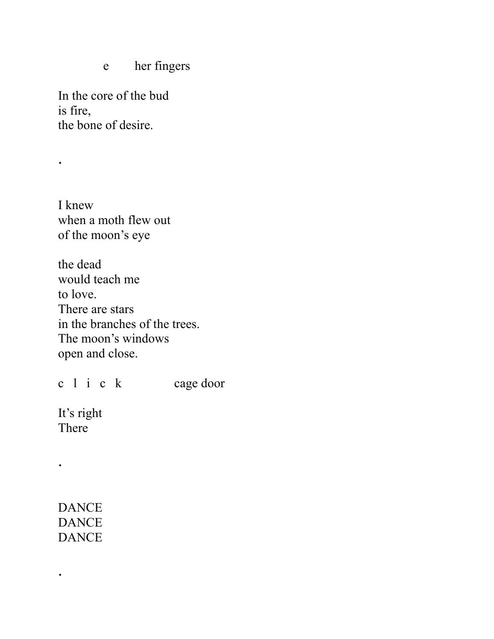e her fingers

In the core of the bud is fire, the bone of desire.

.

I knew when a moth flew out of the moon's eye

the dead would teach me to love. There are stars in the branches of the trees. The moon's windows open and close.

c l i c k cage door

It's right There

.

.

DANCE **DANCE DANCE**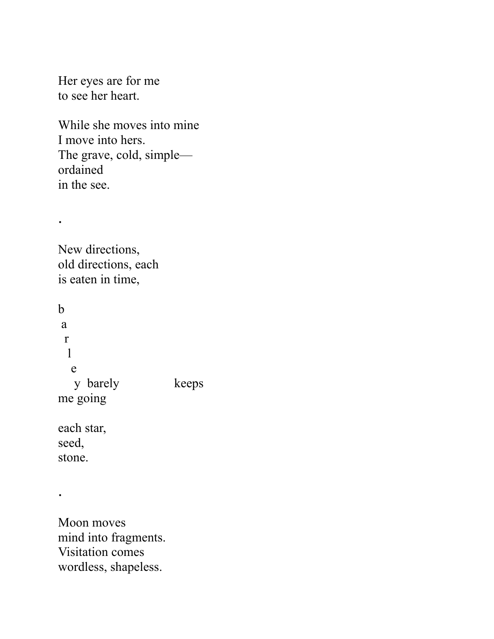Her eyes are for me to see her heart.

While she moves into mine I move into hers. The grave, cold, simple ordained in the see.

.

New directions, old directions, each is eaten in time,

b a r l e y barely keeps me going each star,

seed, stone.

.

Moon moves mind into fragments. Visitation comes wordless, shapeless.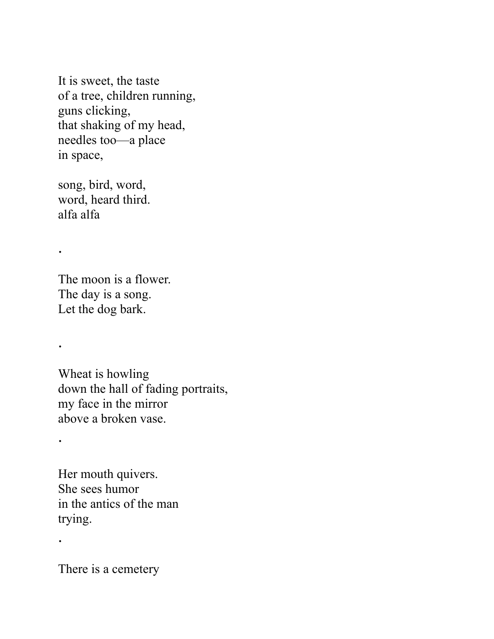It is sweet, the taste of a tree, children running, guns clicking, that shaking of my head, needles too—a place in space,

song, bird, word, word, heard third. alfa alfa

.

.

.

.

The moon is a flower. The day is a song. Let the dog bark.

Wheat is howling down the hall of fading portraits, my face in the mirror above a broken vase.

Her mouth quivers. She sees humor in the antics of the man trying.

There is a cemetery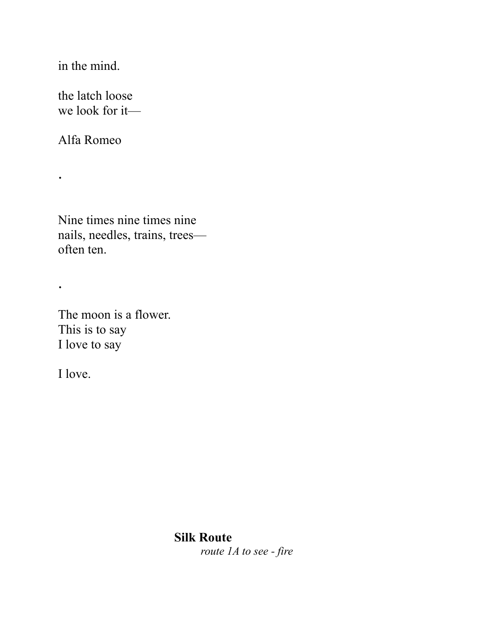in the mind.

the latch loose we look for it—

Alfa Romeo

.

.

Nine times nine times nine nails, needles, trains, trees often ten.

The moon is a flower. This is to say I love to say

I love.

# **Silk Route**

*route 1A to see - fire*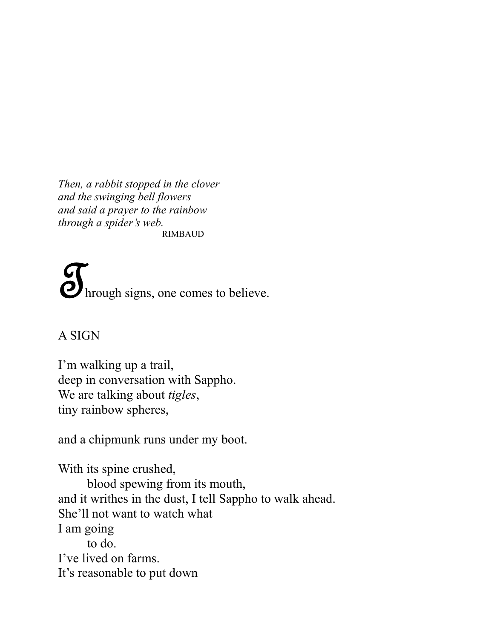*Then, a rabbit stopped in the clover and the swinging bell flowers and said a prayer to the rainbow through a spider's web.* RIMBAUD

**O** hrough signs, one comes to believe.

# A SIGN

I'm walking up a trail, deep in conversation with Sappho. We are talking about *tigles*, tiny rainbow spheres,

and a chipmunk runs under my boot.

With its spine crushed, blood spewing from its mouth, and it writhes in the dust, I tell Sappho to walk ahead. She'll not want to watch what I am going to do. I've lived on farms. It's reasonable to put down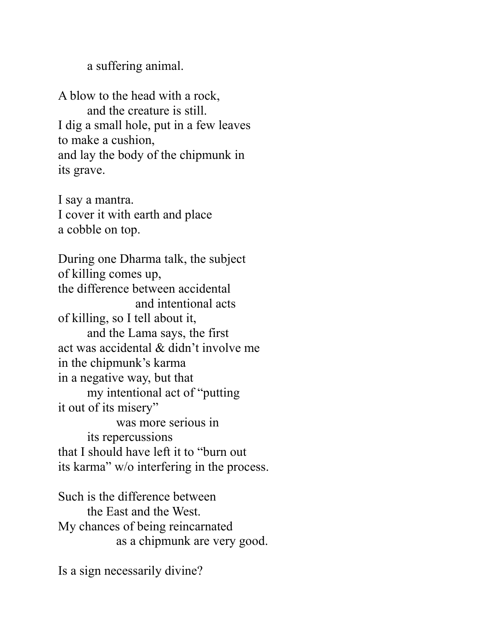a suffering animal.

A blow to the head with a rock, and the creature is still. I dig a small hole, put in a few leaves to make a cushion, and lay the body of the chipmunk in its grave.

I say a mantra. I cover it with earth and place a cobble on top.

During one Dharma talk, the subject of killing comes up, the difference between accidental and intentional acts of killing, so I tell about it, and the Lama says, the first act was accidental & didn't involve me in the chipmunk's karma in a negative way, but that my intentional act of "putting it out of its misery" was more serious in its repercussions that I should have left it to "burn out its karma" w/o interfering in the process.

Such is the difference between the East and the West. My chances of being reincarnated as a chipmunk are very good.

Is a sign necessarily divine?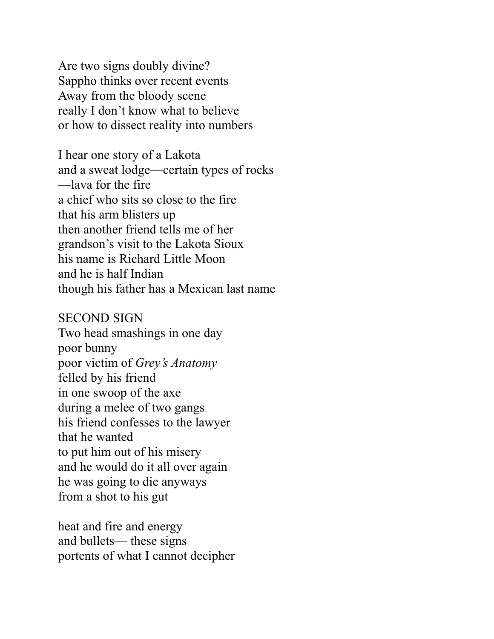Are two signs doubly divine? Sappho thinks over recent events Away from the bloody scene really I don't know what to believe or how to dissect reality into numbers

I hear one story of a Lakota and a sweat lodge—certain types of rocks —lava for the fire a chief who sits so close to the fire that his arm blisters up then another friend tells me of her grandson's visit to the Lakota Sioux his name is Richard Little Moon and he is half Indian though his father has a Mexican last name

#### SECOND SIGN

Two head smashings in one day poor bunny poor victim of *Grey's Anatomy*  felled by his friend in one swoop of the axe during a melee of two gangs his friend confesses to the lawyer that he wanted to put him out of his misery and he would do it all over again he was going to die anyways from a shot to his gut

heat and fire and energy and bullets— these signs portents of what I cannot decipher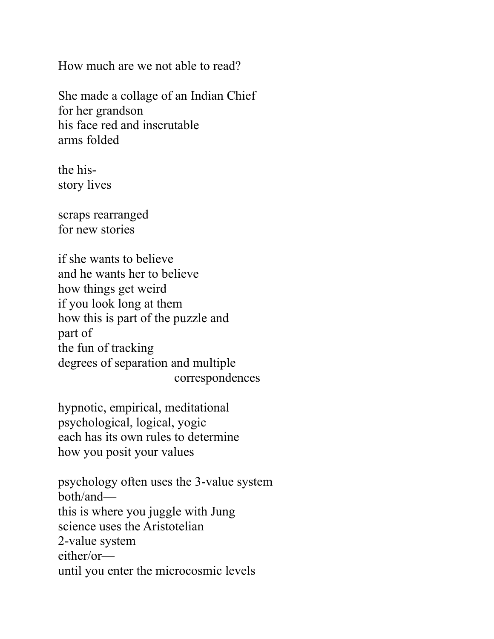How much are we not able to read?

She made a collage of an Indian Chief for her grandson his face red and inscrutable arms folded

the hisstory lives

scraps rearranged for new stories

if she wants to believe and he wants her to believe how things get weird if you look long at them how this is part of the puzzle and part of the fun of tracking degrees of separation and multiple correspondences

hypnotic, empirical, meditational psychological, logical, yogic each has its own rules to determine how you posit your values

psychology often uses the 3-value system both/and this is where you juggle with Jung science uses the Aristotelian 2-value system either/or until you enter the microcosmic levels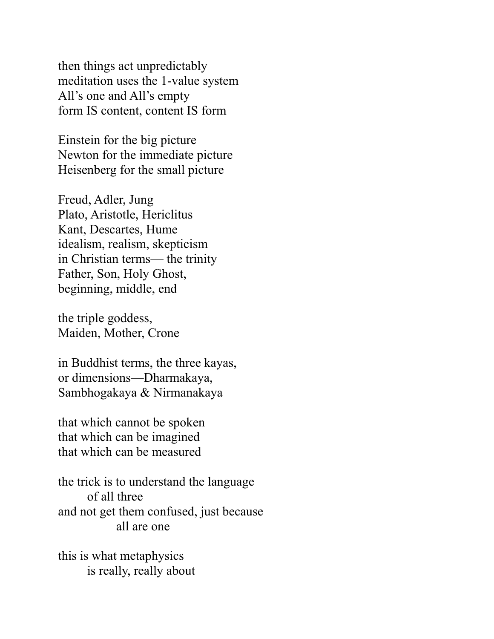then things act unpredictably meditation uses the 1-value system All's one and All's empty form IS content, content IS form

Einstein for the big picture Newton for the immediate picture Heisenberg for the small picture

Freud, Adler, Jung Plato, Aristotle, Hericlitus Kant, Descartes, Hume idealism, realism, skepticism in Christian terms— the trinity Father, Son, Holy Ghost, beginning, middle, end

the triple goddess, Maiden, Mother, Crone

in Buddhist terms, the three kayas, or dimensions—Dharmakaya, Sambhogakaya & Nirmanakaya

that which cannot be spoken that which can be imagined that which can be measured

the trick is to understand the language of all three and not get them confused, just because all are one

this is what metaphysics is really, really about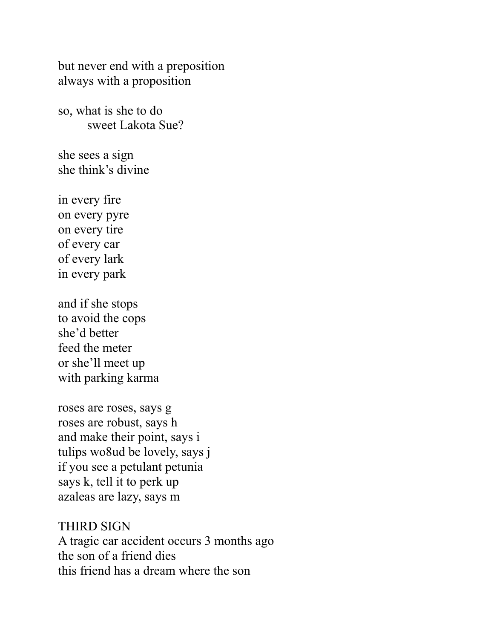but never end with a preposition always with a proposition

so, what is she to do sweet Lakota Sue?

she sees a sign she think's divine

in every fire on every pyre on every tire of every car of every lark in every park

and if she stops to avoid the cops she'd better feed the meter or she'll meet up with parking karma

roses are roses, says g roses are robust, says h and make their point, says i tulips wo8ud be lovely, says j if you see a petulant petunia says k, tell it to perk up azaleas are lazy, says m

THIRD SIGN A tragic car accident occurs 3 months ago the son of a friend dies this friend has a dream where the son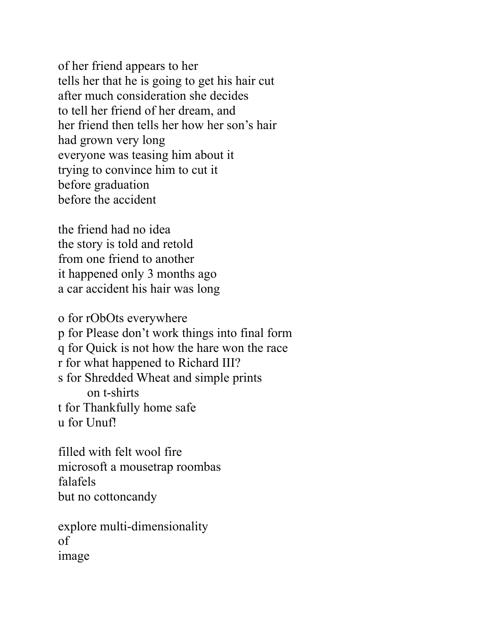of her friend appears to her tells her that he is going to get his hair cut after much consideration she decides to tell her friend of her dream, and her friend then tells her how her son's hair had grown very long everyone was teasing him about it trying to convince him to cut it before graduation before the accident

the friend had no idea the story is told and retold from one friend to another it happened only 3 months ago a car accident his hair was long

o for rObOts everywhere p for Please don't work things into final form q for Quick is not how the hare won the race r for what happened to Richard III? s for Shredded Wheat and simple prints on t-shirts t for Thankfully home safe u for Unuf!

filled with felt wool fire microsoft a mousetrap roombas falafels but no cottoncandy

explore multi-dimensionality of image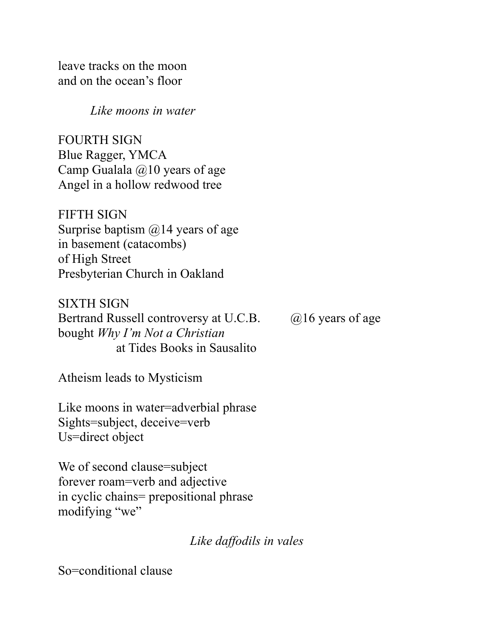leave tracks on the moon and on the ocean's floor

 *Like moons in water*

FOURTH SIGN Blue Ragger, YMCA Camp Gualala  $\omega$ 10 years of age Angel in a hollow redwood tree

FIFTH SIGN Surprise baptism  $\omega/4$  years of age in basement (catacombs) of High Street Presbyterian Church in Oakland

SIXTH SIGN Bertrand Russell controversy at U.C.B.  $\qquad \qquad (\partial/16 \text{ years of age})$ bought *Why I'm Not a Christian*  at Tides Books in Sausalito

Atheism leads to Mysticism

Like moons in water=adverbial phrase Sights=subject, deceive=verb Us=direct object

We of second clause=subject forever roam=verb and adjective in cyclic chains= prepositional phrase modifying "we"

*Like daffodils in vales*

So=conditional clause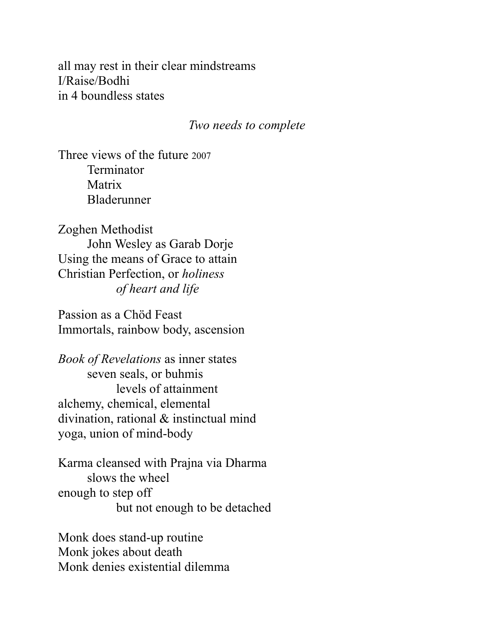all may rest in their clear mindstreams I/Raise/Bodhi in 4 boundless states

#### *Two needs to complete*

Three views of the future 2007 **Terminator** Matrix Bladerunner

Zoghen Methodist John Wesley as Garab Dorje Using the means of Grace to attain Christian Perfection, or *holiness of heart and life*

Passion as a Chöd Feast Immortals, rainbow body, ascension

*Book of Revelations* as inner states seven seals, or buhmis levels of attainment alchemy, chemical, elemental divination, rational & instinctual mind yoga, union of mind-body

Karma cleansed with Prajna via Dharma slows the wheel enough to step off but not enough to be detached

Monk does stand-up routine Monk jokes about death Monk denies existential dilemma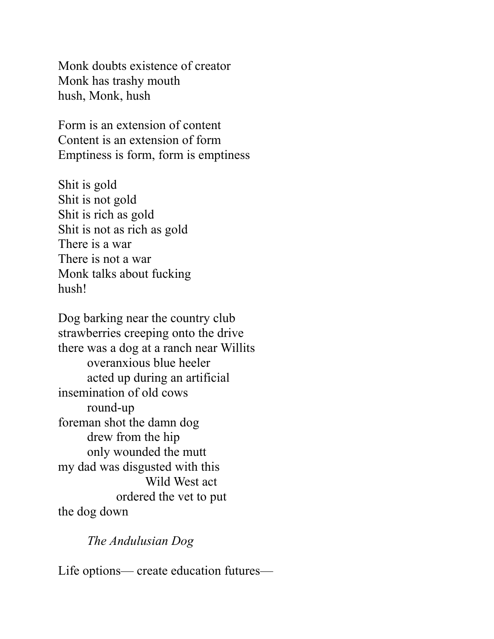Monk doubts existence of creator Monk has trashy mouth hush, Monk, hush

Form is an extension of content Content is an extension of form Emptiness is form, form is emptiness

Shit is gold Shit is not gold Shit is rich as gold Shit is not as rich as gold There is a war There is not a war Monk talks about fucking hush!

Dog barking near the country club strawberries creeping onto the drive there was a dog at a ranch near Willits overanxious blue heeler acted up during an artificial insemination of old cows round-up foreman shot the damn dog drew from the hip only wounded the mutt my dad was disgusted with this Wild West act ordered the vet to put the dog down

*The Andulusian Dog* 

Life options— create education futures—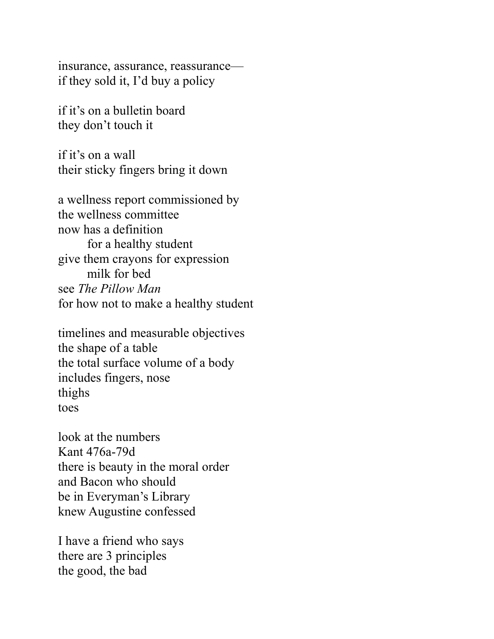insurance, assurance, reassurance if they sold it, I'd buy a policy

if it's on a bulletin board they don't touch it

if it's on a wall their sticky fingers bring it down

a wellness report commissioned by the wellness committee now has a definition for a healthy student give them crayons for expression milk for bed see *The Pillow Man*  for how not to make a healthy student

timelines and measurable objectives the shape of a table the total surface volume of a body includes fingers, nose thighs toes

look at the numbers Kant 476a-79d there is beauty in the moral order and Bacon who should be in Everyman's Library knew Augustine confessed

I have a friend who says there are 3 principles the good, the bad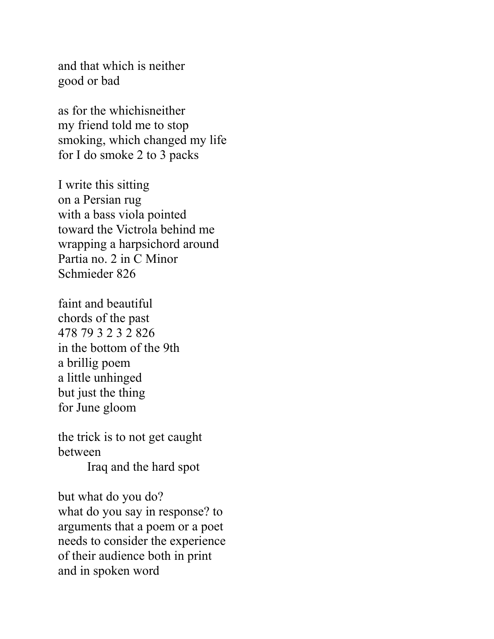and that which is neither good or bad

as for the whichisneither my friend told me to stop smoking, which changed my life for I do smoke 2 to 3 packs

I write this sitting on a Persian rug with a bass viola pointed toward the Victrola behind me wrapping a harpsichord around Partia no. 2 in C Minor Schmieder 826

faint and beautiful chords of the past 478 79 3 2 3 2 826 in the bottom of the 9th a brillig poem a little unhinged but just the thing for June gloom

the trick is to not get caught between Iraq and the hard spot

but what do you do? what do you say in response? to arguments that a poem or a poet needs to consider the experience of their audience both in print and in spoken word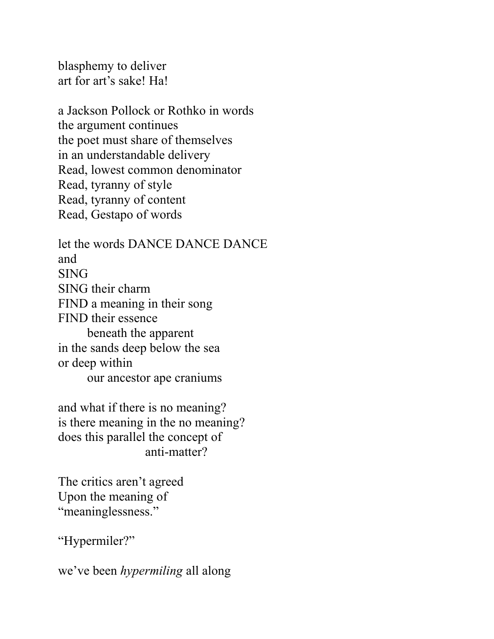blasphemy to deliver art for art's sake! Ha!

a Jackson Pollock or Rothko in words the argument continues the poet must share of themselves in an understandable delivery Read, lowest common denominator Read, tyranny of style Read, tyranny of content Read, Gestapo of words

let the words DANCE DANCE DANCE and SING SING their charm FIND a meaning in their song FIND their essence beneath the apparent in the sands deep below the sea or deep within our ancestor ape craniums

and what if there is no meaning? is there meaning in the no meaning? does this parallel the concept of anti-matter?

The critics aren't agreed Upon the meaning of "meaninglessness."

"Hypermiler?"

we've been *hypermiling* all along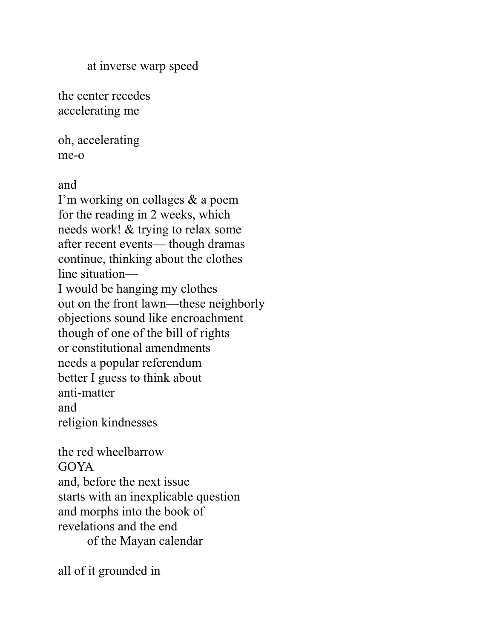at inverse warp speed

the center recedes accelerating me

oh, accelerating me-o

and

I'm working on collages & a poem for the reading in 2 weeks, which needs work! & trying to relax some after recent events— though dramas continue, thinking about the clothes line situation— I would be hanging my clothes out on the front lawn—these neighborly objections sound like encroachment though of one of the bill of rights or constitutional amendments needs a popular referendum better I guess to think about anti-matter and religion kindnesses

the red wheelbarrow GOYA and, before the next issue starts with an inexplicable question and morphs into the book of revelations and the end of the Mayan calendar

all of it grounded in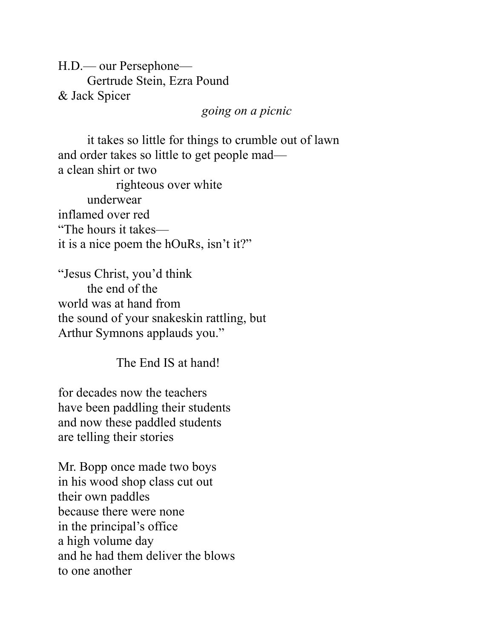H.D.— our Persephone— Gertrude Stein, Ezra Pound & Jack Spicer

*going on a picnic*

it takes so little for things to crumble out of lawn and order takes so little to get people mad a clean shirt or two righteous over white underwear inflamed over red "The hours it takes it is a nice poem the hOuRs, isn't it?"

"Jesus Christ, you'd think the end of the world was at hand from the sound of your snakeskin rattling, but Arthur Symnons applauds you."

The End IS at hand!

for decades now the teachers have been paddling their students and now these paddled students are telling their stories

Mr. Bopp once made two boys in his wood shop class cut out their own paddles because there were none in the principal's office a high volume day and he had them deliver the blows to one another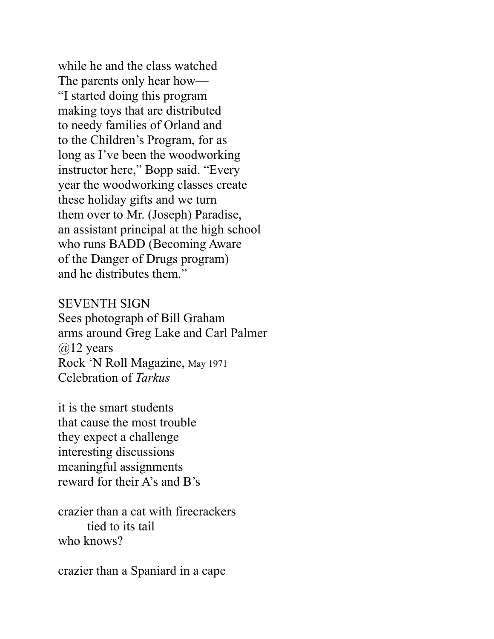while he and the class watched The parents only hear how— "I started doing this program making toys that are distributed to needy families of Orland and to the Children's Program, for as long as I've been the woodworking instructor here," Bopp said. "Every year the woodworking classes create these holiday gifts and we turn them over to Mr. (Joseph) Paradise, an assistant principal at the high school who runs BADD (Becoming Aware of the Danger of Drugs program) and he distributes them."

#### SEVENTH SIGN

Sees photograph of Bill Graham arms around Greg Lake and Carl Palmer  $@12$  years Rock 'N Roll Magazine, May 1971 Celebration of *Tarkus*

it is the smart students that cause the most trouble they expect a challenge interesting discussions meaningful assignments reward for their A's and B's

crazier than a cat with firecrackers tied to its tail who knows?

crazier than a Spaniard in a cape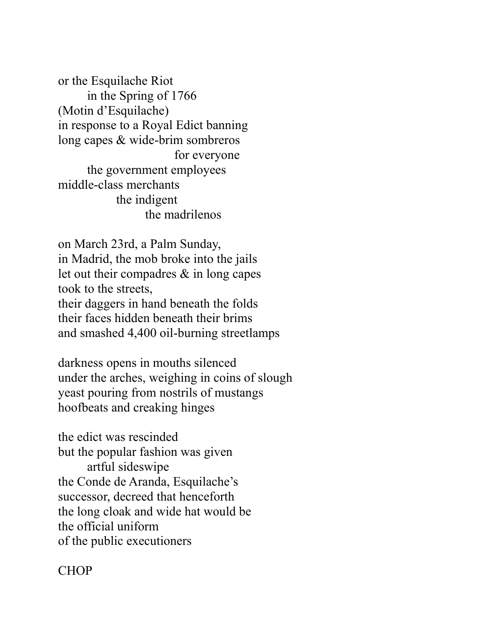or the Esquilache Riot in the Spring of 1766 (Motin d'Esquilache) in response to a Royal Edict banning long capes & wide-brim sombreros for everyone the government employees middle-class merchants the indigent the madrilenos

on March 23rd, a Palm Sunday, in Madrid, the mob broke into the jails let out their compadres & in long capes took to the streets, their daggers in hand beneath the folds their faces hidden beneath their brims and smashed 4,400 oil-burning streetlamps

darkness opens in mouths silenced under the arches, weighing in coins of slough yeast pouring from nostrils of mustangs hoofbeats and creaking hinges

the edict was rescinded but the popular fashion was given artful sideswipe the Conde de Aranda, Esquilache's successor, decreed that henceforth the long cloak and wide hat would be the official uniform of the public executioners

# CHOP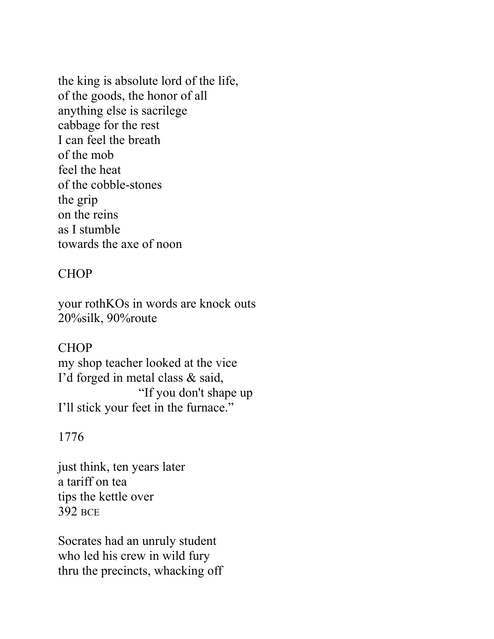the king is absolute lord of the life, of the goods, the honor of all anything else is sacrilege cabbage for the rest I can feel the breath of the mob feel the heat of the cobble-stones the grip on the reins as I stumble towards the axe of noon

# **CHOP**

your rothKOs in words are knock outs 20%silk, 90%route

# **CHOP**

my shop teacher looked at the vice I'd forged in metal class & said, "If you don't shape up I'll stick your feet in the furnace."

# 1776

just think, ten years later a tariff on tea tips the kettle over 392 BCE

Socrates had an unruly student who led his crew in wild fury thru the precincts, whacking off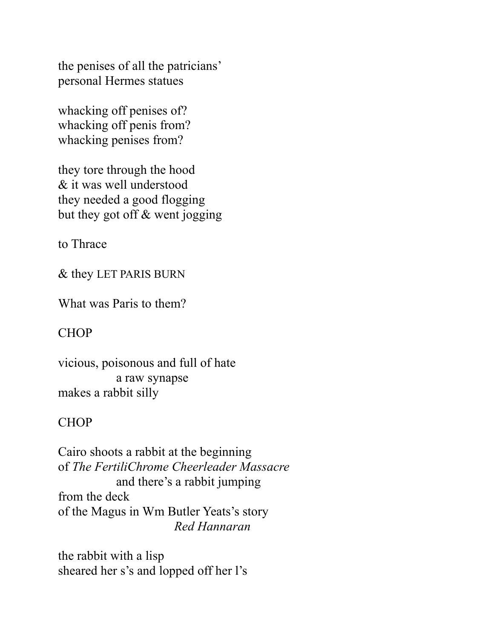the penises of all the patricians' personal Hermes statues

whacking off penises of? whacking off penis from? whacking penises from?

they tore through the hood & it was well understood they needed a good flogging but they got off & went jogging

to Thrace

& they LET PARIS BURN

What was Paris to them?

# CHOP

vicious, poisonous and full of hate a raw synapse makes a rabbit silly

# **CHOP**

Cairo shoots a rabbit at the beginning of *The FertiliChrome Cheerleader Massacre* and there's a rabbit jumping from the deck of the Magus in Wm Butler Yeats's story *Red Hannaran*

the rabbit with a lisp sheared her s's and lopped off her l's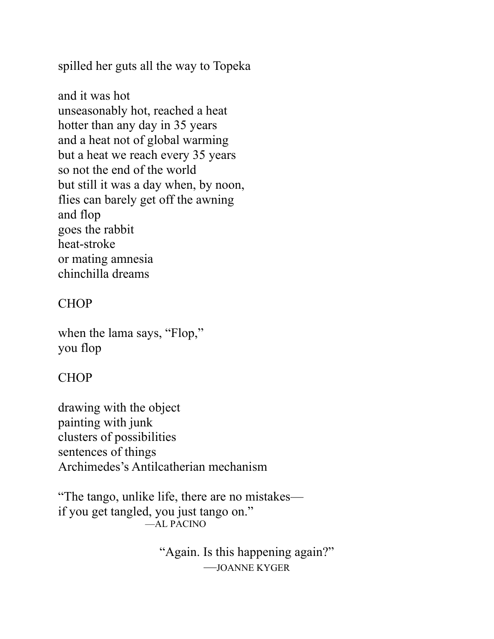spilled her guts all the way to Topeka

and it was hot unseasonably hot, reached a heat hotter than any day in 35 years and a heat not of global warming but a heat we reach every 35 years so not the end of the world but still it was a day when, by noon, flies can barely get off the awning and flop goes the rabbit heat-stroke or mating amnesia chinchilla dreams

# **CHOP**

when the lama says, "Flop," you flop

# **CHOP**

drawing with the object painting with junk clusters of possibilities sentences of things Archimedes's Antilcatherian mechanism

"The tango, unlike life, there are no mistakes if you get tangled, you just tango on." —AL PACINO

> "Again. Is this happening again?" —JOANNE KYGER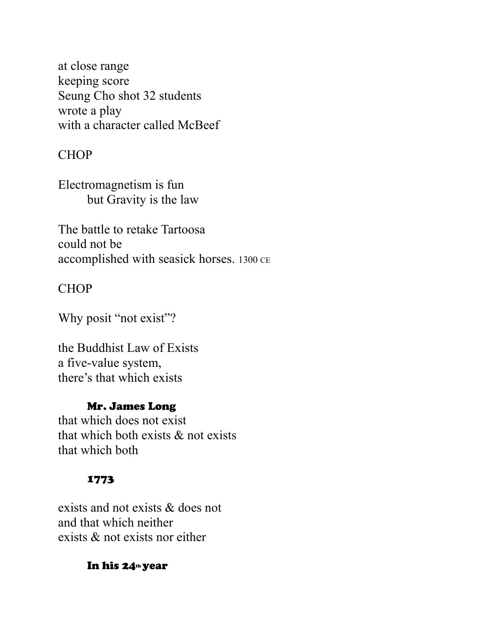at close range keeping score Seung Cho shot 32 students wrote a play with a character called McBeef

#### CHOP

Electromagnetism is fun but Gravity is the law

The battle to retake Tartoosa could not be accomplished with seasick horses. 1300 CE

### CHOP

Why posit "not exist"?

the Buddhist Law of Exists a five-value system, there's that which exists

### Mr. James Long

that which does not exist that which both exists & not exists that which both

#### 1773

exists and not exists & does not and that which neither exists & not exists nor either

#### In his 24th year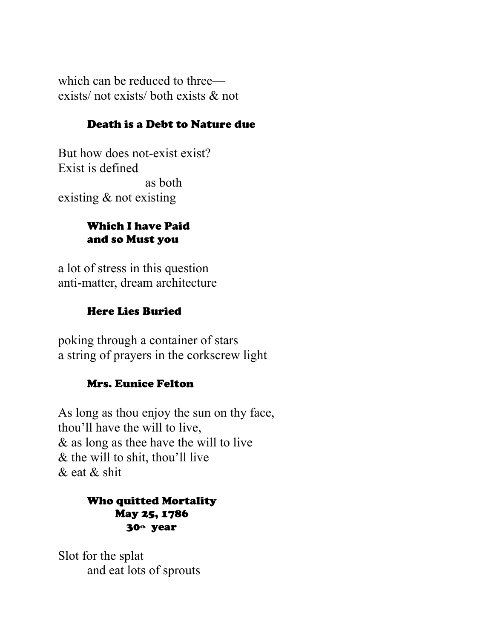which can be reduced to three exists/ not exists/ both exists & not

#### Death is a Debt to Nature due

But how does not-exist exist? Exist is defined as both existing & not existing

#### Which I have Paid and so Must you

a lot of stress in this question anti-matter, dream architecture

### Here Lies Buried

poking through a container of stars a string of prayers in the corkscrew light

### Mrs. Eunice Felton

As long as thou enjoy the sun on thy face, thou'll have the will to live, & as long as thee have the will to live & the will to shit, thou'll live & eat & shit

#### Who quitted Mortality May 25, 1786 30th year

Slot for the splat and eat lots of sprouts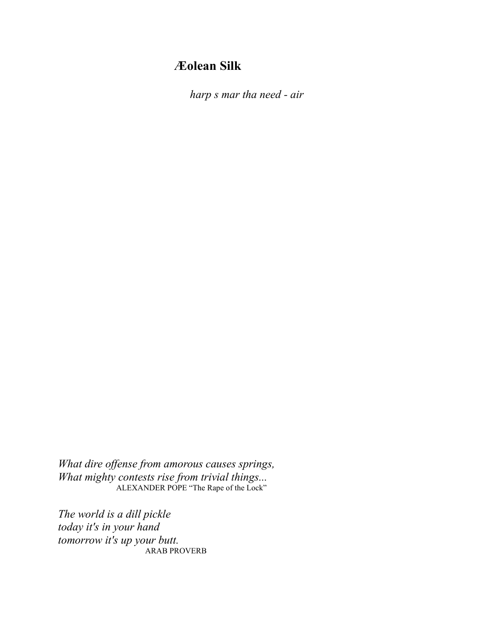# **Æolean Silk**

*harp s mar tha need - air*

*What dire offense from amorous causes springs, What mighty contests rise from trivial things...* ALEXANDER POPE "The Rape of the Lock"

*The world is a dill pickle today it's in your hand tomorrow it's up your butt.* ARAB PROVERB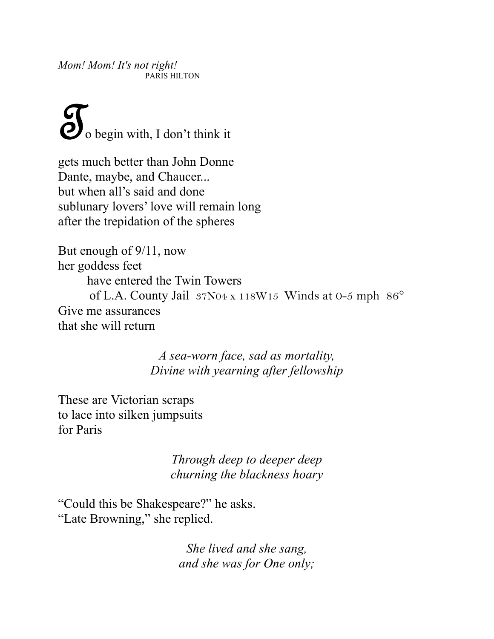*Mom! Mom! It's not right!* PARIS HILTON

 $\sum$  o begin with, I don't think it

gets much better than John Donne Dante, maybe, and Chaucer... but when all's said and done sublunary lovers' love will remain long after the trepidation of the spheres

But enough of 9/11, now her goddess feet have entered the Twin Towers of L.A. County Jail 37N04 x 118W15 Winds at 0-5 mph 86° Give me assurances that she will return

> *A sea-worn face, sad as mortality, Divine with yearning after fellowship*

These are Victorian scraps to lace into silken jumpsuits for Paris

> *Through deep to deeper deep churning the blackness hoary*

"Could this be Shakespeare?" he asks. "Late Browning," she replied.

> *She lived and she sang, and she was for One only;*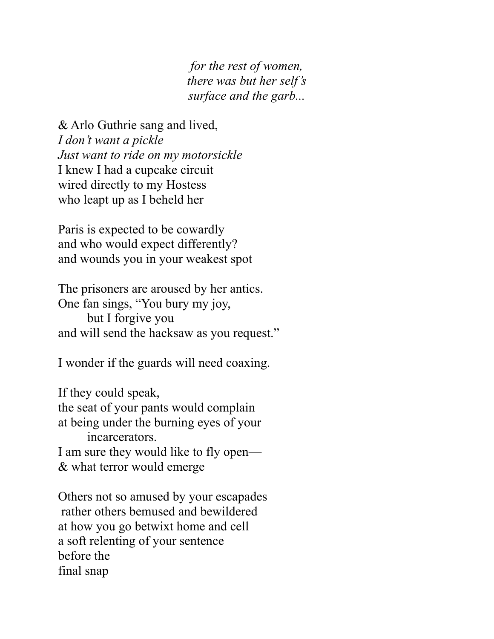*for the rest of women, there was but her self's surface and the garb...* 

& Arlo Guthrie sang and lived, *I don't want a pickle Just want to ride on my motorsickle*  I knew I had a cupcake circuit wired directly to my Hostess who leapt up as I beheld her

Paris is expected to be cowardly and who would expect differently? and wounds you in your weakest spot

The prisoners are aroused by her antics. One fan sings, "You bury my joy, but I forgive you and will send the hacksaw as you request."

I wonder if the guards will need coaxing.

If they could speak, the seat of your pants would complain at being under the burning eyes of your incarcerators.

I am sure they would like to fly open— & what terror would emerge

Others not so amused by your escapades rather others bemused and bewildered at how you go betwixt home and cell a soft relenting of your sentence before the final snap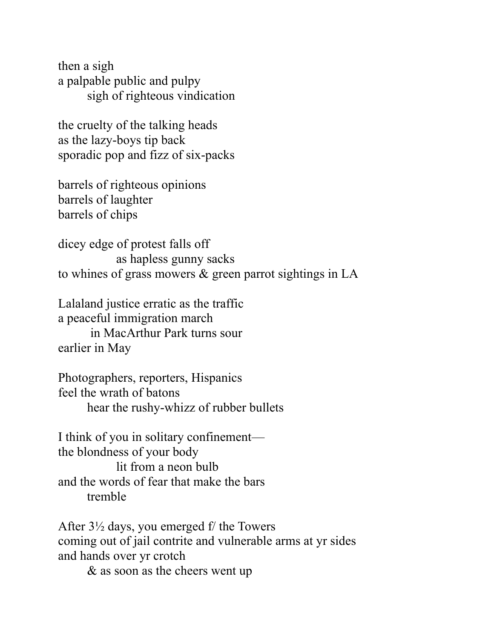then a sigh a palpable public and pulpy sigh of righteous vindication

the cruelty of the talking heads as the lazy-boys tip back sporadic pop and fizz of six-packs

barrels of righteous opinions barrels of laughter barrels of chips

dicey edge of protest falls off as hapless gunny sacks to whines of grass mowers & green parrot sightings in LA

Lalaland justice erratic as the traffic a peaceful immigration march in MacArthur Park turns sour earlier in May

Photographers, reporters, Hispanics feel the wrath of batons hear the rushy-whizz of rubber bullets

I think of you in solitary confinement the blondness of your body lit from a neon bulb and the words of fear that make the bars tremble

After  $3\frac{1}{2}$  days, you emerged f/ the Towers coming out of jail contrite and vulnerable arms at yr sides and hands over yr crotch

& as soon as the cheers went up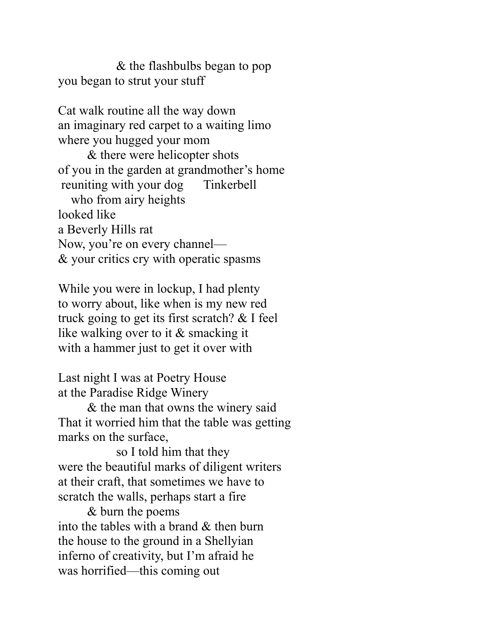& the flashbulbs began to pop you began to strut your stuff

Cat walk routine all the way down an imaginary red carpet to a waiting limo where you hugged your mom

& there were helicopter shots of you in the garden at grandmother's home reuniting with your dog Tinkerbell who from airy heights looked like a Beverly Hills rat

Now, you're on every channel— & your critics cry with operatic spasms

While you were in lockup, I had plenty to worry about, like when is my new red truck going to get its first scratch? & I feel like walking over to it & smacking it with a hammer just to get it over with

Last night I was at Poetry House at the Paradise Ridge Winery

& the man that owns the winery said That it worried him that the table was getting marks on the surface,

so I told him that they were the beautiful marks of diligent writers at their craft, that sometimes we have to scratch the walls, perhaps start a fire

& burn the poems into the tables with a brand & then burn the house to the ground in a Shellyian inferno of creativity, but I'm afraid he was horrified—this coming out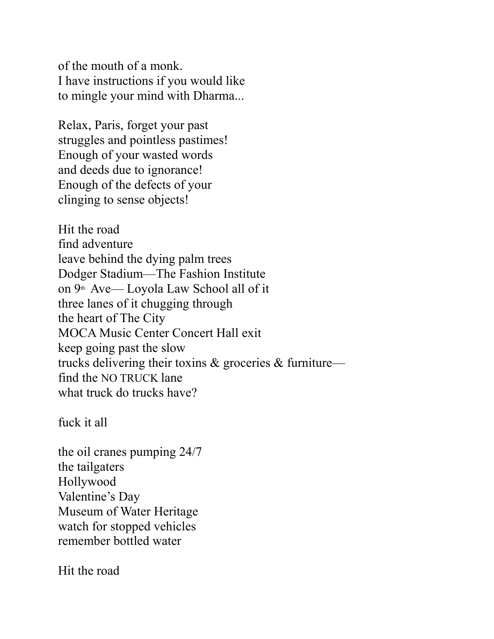of the mouth of a monk. I have instructions if you would like to mingle your mind with Dharma...

Relax, Paris, forget your past struggles and pointless pastimes! Enough of your wasted words and deeds due to ignorance! Enough of the defects of your clinging to sense objects!

Hit the road find adventure leave behind the dying palm trees Dodger Stadium—The Fashion Institute on 9th Ave— Loyola Law School all of it three lanes of it chugging through the heart of The City MOCA Music Center Concert Hall exit keep going past the slow trucks delivering their toxins & groceries & furniture find the NO TRUCK lane what truck do trucks have?

fuck it all

the oil cranes pumping 24/7 the tailgaters Hollywood Valentine's Day Museum of Water Heritage watch for stopped vehicles remember bottled water

Hit the road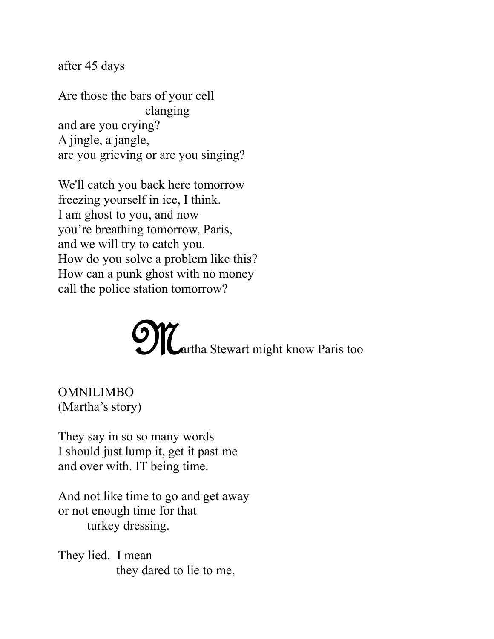after 45 days

Are those the bars of your cell clanging and are you crying? A jingle, a jangle, are you grieving or are you singing?

We'll catch you back here tomorrow freezing yourself in ice, I think. I am ghost to you, and now you're breathing tomorrow, Paris, and we will try to catch you. How do you solve a problem like this? How can a punk ghost with no money call the police station tomorrow?



OMNILIMBO (Martha's story)

They say in so so many words I should just lump it, get it past me and over with. IT being time.

And not like time to go and get away or not enough time for that turkey dressing.

They lied. I mean they dared to lie to me,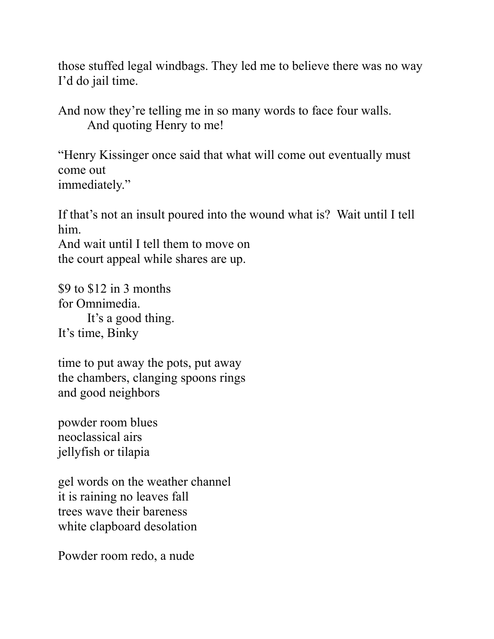those stuffed legal windbags. They led me to believe there was no way I'd do jail time.

And now they're telling me in so many words to face four walls. And quoting Henry to me!

"Henry Kissinger once said that what will come out eventually must come out immediately."

If that's not an insult poured into the wound what is? Wait until I tell him.

And wait until I tell them to move on the court appeal while shares are up.

 $$9$  to  $$12$  in 3 months for Omnimedia. It's a good thing. It's time, Binky

time to put away the pots, put away the chambers, clanging spoons rings and good neighbors

powder room blues neoclassical airs jellyfish or tilapia

gel words on the weather channel it is raining no leaves fall trees wave their bareness white clapboard desolation

Powder room redo, a nude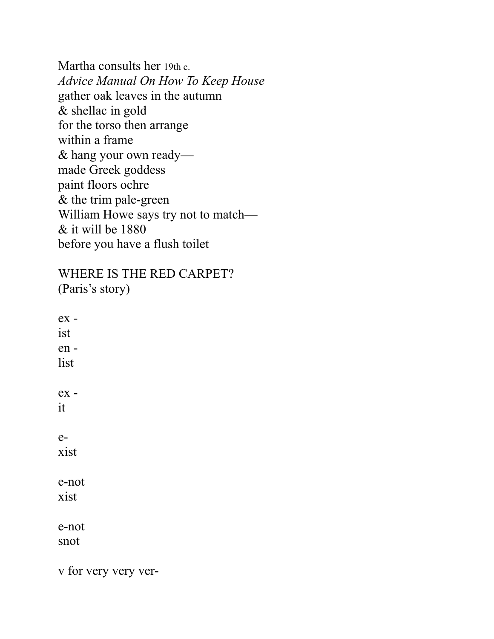Martha consults her 19th c. *Advice Manual On How To Keep House* gather oak leaves in the autumn & shellac in gold for the torso then arrange within a frame & hang your own ready made Greek goddess paint floors ochre & the trim pale-green William Howe says try not to match— & it will be 1880 before you have a flush toilet

WHERE IS THE RED CARPET? (Paris's story)

ex ist en list ex it exist e-not xist e-not snot

v for very very ver-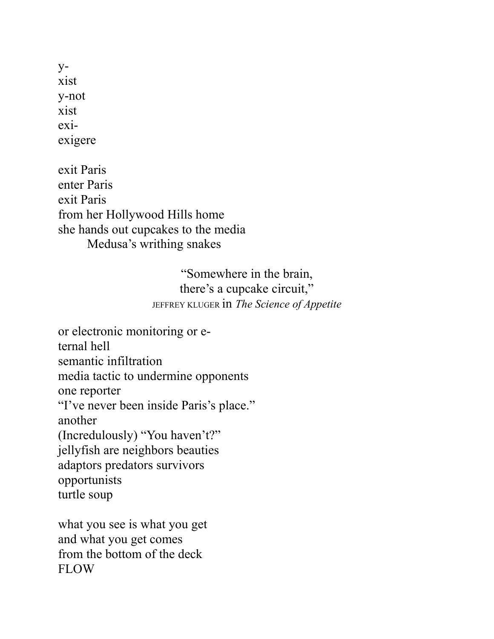yxist y-not xist exiexigere

exit Paris enter Paris exit Paris from her Hollywood Hills home she hands out cupcakes to the media Medusa's writhing snakes

> "Somewhere in the brain, there's a cupcake circuit," JEFFREY KLUGER in *The Science of Appetite*

or electronic monitoring or eternal hell semantic infiltration media tactic to undermine opponents one reporter "I've never been inside Paris's place." another (Incredulously) "You haven't?" jellyfish are neighbors beauties adaptors predators survivors opportunists turtle soup

what you see is what you get and what you get comes from the bottom of the deck FLOW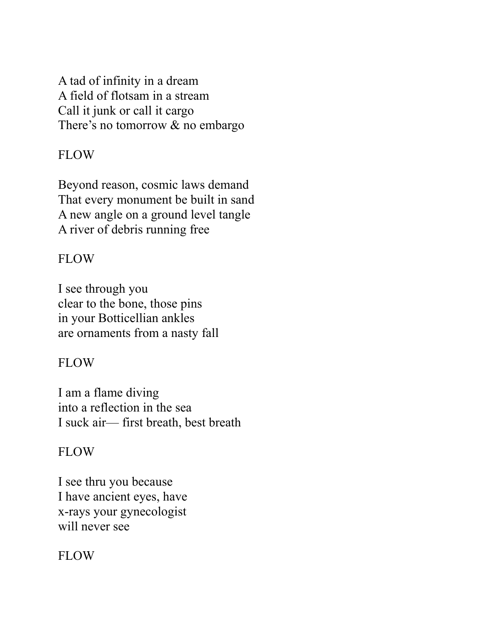A tad of infinity in a dream A field of flotsam in a stream Call it junk or call it cargo There's no tomorrow & no embargo

## FLOW

Beyond reason, cosmic laws demand That every monument be built in sand A new angle on a ground level tangle A river of debris running free

## FLOW

I see through you clear to the bone, those pins in your Botticellian ankles are ornaments from a nasty fall

## FLOW

I am a flame diving into a reflection in the sea I suck air— first breath, best breath

# FLOW

I see thru you because I have ancient eyes, have x-rays your gynecologist will never see

# FLOW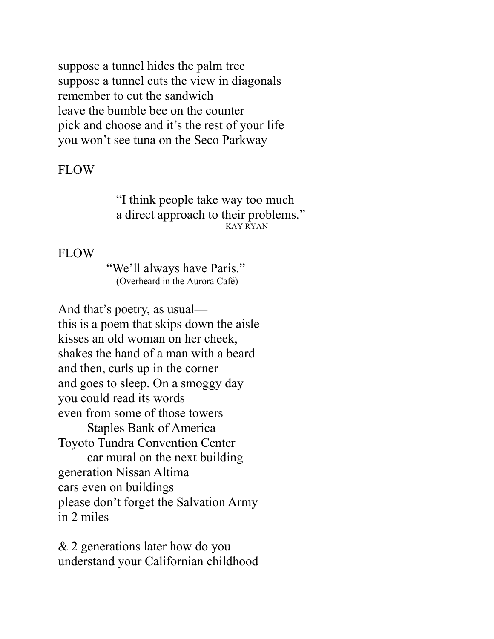suppose a tunnel hides the palm tree suppose a tunnel cuts the view in diagonals remember to cut the sandwich leave the bumble bee on the counter pick and choose and it's the rest of your life you won't see tuna on the Seco Parkway

#### FLOW

"I think people take way too much a direct approach to their problems." KAY RYAN

#### FLOW

"We'll always have Paris." (Overheard in the Aurora Café)

And that's poetry, as usual this is a poem that skips down the aisle kisses an old woman on her cheek, shakes the hand of a man with a beard and then, curls up in the corner and goes to sleep. On a smoggy day you could read its words even from some of those towers Staples Bank of America Toyoto Tundra Convention Center car mural on the next building generation Nissan Altima cars even on buildings please don't forget the Salvation Army in 2 miles

& 2 generations later how do you understand your Californian childhood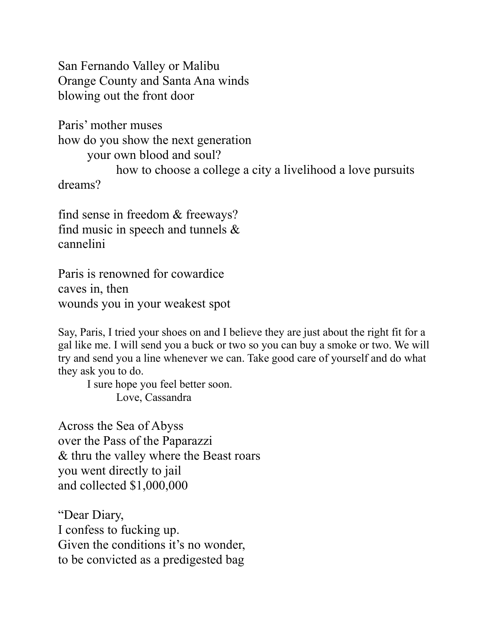San Fernando Valley or Malibu Orange County and Santa Ana winds blowing out the front door

Paris' mother muses how do you show the next generation your own blood and soul? how to choose a college a city a livelihood a love pursuits dreams?

find sense in freedom & freeways? find music in speech and tunnels & cannelini

Paris is renowned for cowardice caves in, then wounds you in your weakest spot

Say, Paris, I tried your shoes on and I believe they are just about the right fit for a gal like me. I will send you a buck or two so you can buy a smoke or two. We will try and send you a line whenever we can. Take good care of yourself and do what they ask you to do.

I sure hope you feel better soon. Love, Cassandra

Across the Sea of Abyss over the Pass of the Paparazzi & thru the valley where the Beast roars you went directly to jail and collected \$1,000,000

"Dear Diary, I confess to fucking up. Given the conditions it's no wonder, to be convicted as a predigested bag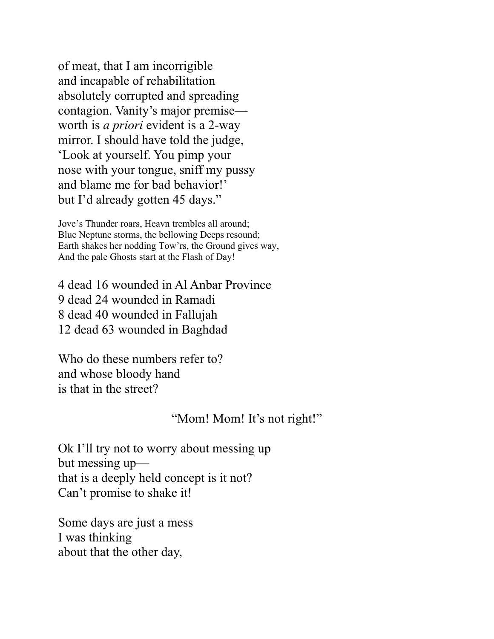of meat, that I am incorrigible and incapable of rehabilitation absolutely corrupted and spreading contagion. Vanity's major premise worth is *a priori* evident is a 2-way mirror. I should have told the judge, 'Look at yourself. You pimp your nose with your tongue, sniff my pussy and blame me for bad behavior!' but I'd already gotten 45 days."

Jove's Thunder roars, Heavn trembles all around; Blue Neptune storms, the bellowing Deeps resound; Earth shakes her nodding Tow'rs, the Ground gives way, And the pale Ghosts start at the Flash of Day!

4 dead 16 wounded in Al Anbar Province 9 dead 24 wounded in Ramadi 8 dead 40 wounded in Fallujah 12 dead 63 wounded in Baghdad

Who do these numbers refer to? and whose bloody hand is that in the street?

#### "Mom! Mom! It's not right!"

Ok I'll try not to worry about messing up but messing up that is a deeply held concept is it not? Can't promise to shake it!

Some days are just a mess I was thinking about that the other day,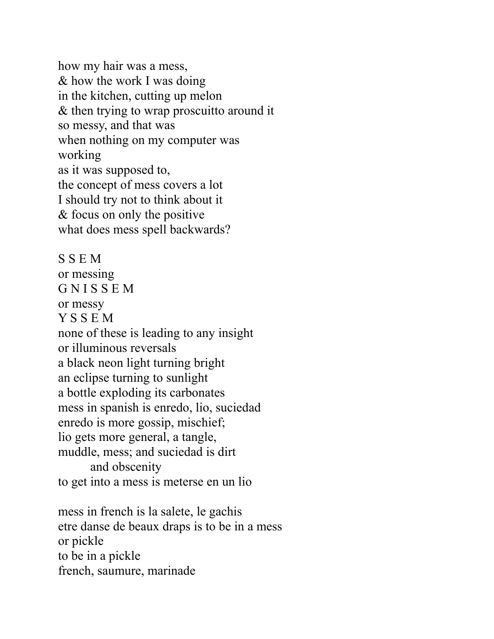how my hair was a mess, & how the work I was doing in the kitchen, cutting up melon & then trying to wrap proscuitto around it so messy, and that was when nothing on my computer was working as it was supposed to, the concept of mess covers a lot I should try not to think about it & focus on only the positive what does mess spell backwards?

S S E M or messing G N I S S E M or messy Y S S E M none of these is leading to any insight or illuminous reversals a black neon light turning bright an eclipse turning to sunlight a bottle exploding its carbonates mess in spanish is enredo, lio, suciedad enredo is more gossip, mischief; lio gets more general, a tangle, muddle, mess; and suciedad is dirt and obscenity to get into a mess is meterse en un lio

mess in french is la salete, le gachis etre danse de beaux draps is to be in a mess or pickle to be in a pickle french, saumure, marinade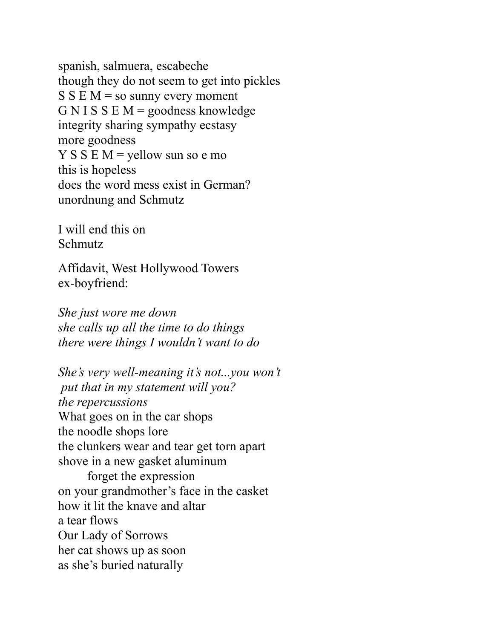spanish, salmuera, escabeche though they do not seem to get into pickles  $S S E M =$ so sunny every moment G N I S S E  $M$  = goodness knowledge integrity sharing sympathy ecstasy more goodness  $Y S S E M =$  yellow sun so e mo this is hopeless does the word mess exist in German? unordnung and Schmutz

I will end this on Schmutz

Affidavit, West Hollywood Towers ex-boyfriend:

*She just wore me down she calls up all the time to do things there were things I wouldn't want to do*

*She's very well-meaning it's not...you won't put that in my statement will you? the repercussions* What goes on in the car shops the noodle shops lore the clunkers wear and tear get torn apart shove in a new gasket aluminum forget the expression on your grandmother's face in the casket how it lit the knave and altar a tear flows Our Lady of Sorrows her cat shows up as soon as she's buried naturally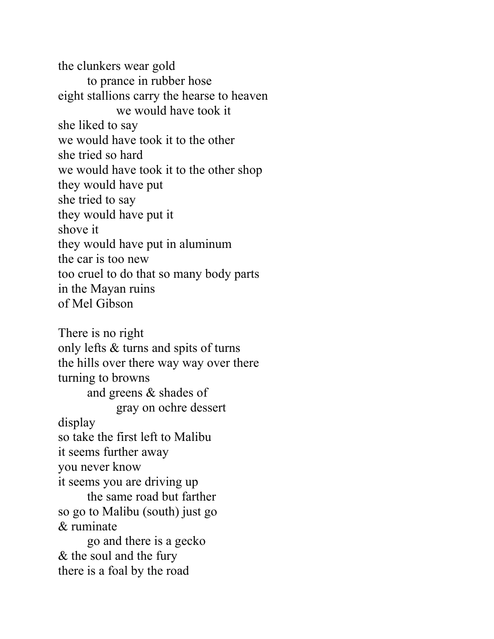the clunkers wear gold to prance in rubber hose eight stallions carry the hearse to heaven we would have took it she liked to say we would have took it to the other she tried so hard we would have took it to the other shop they would have put she tried to say they would have put it shove it they would have put in aluminum the car is too new too cruel to do that so many body parts in the Mayan ruins of Mel Gibson There is no right only lefts & turns and spits of turns the hills over there way way over there turning to browns and greens & shades of gray on ochre dessert display so take the first left to Malibu it seems further away you never know it seems you are driving up

the same road but farther so go to Malibu (south) just go & ruminate

go and there is a gecko & the soul and the fury there is a foal by the road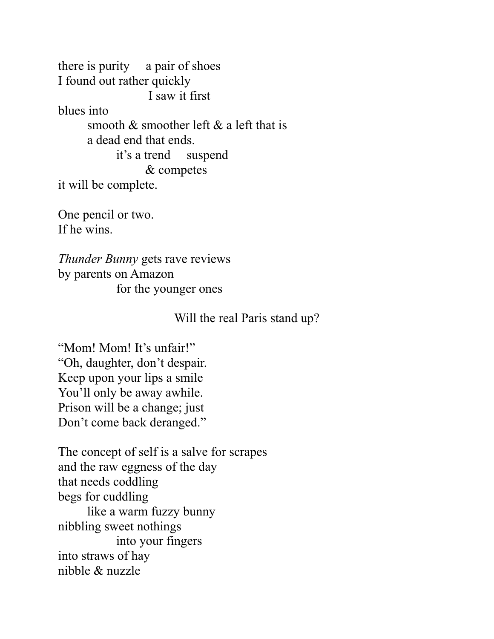there is purity a pair of shoes I found out rather quickly I saw it first blues into smooth & smoother left & a left that is a dead end that ends. it's a trend suspend & competes it will be complete.

One pencil or two. If he wins.

*Thunder Bunny* gets rave reviews by parents on Amazon for the younger ones

Will the real Paris stand up?

"Mom! Mom! It's unfair!" "Oh, daughter, don't despair. Keep upon your lips a smile You'll only be away awhile. Prison will be a change; just Don't come back deranged."

The concept of self is a salve for scrapes and the raw eggness of the day that needs coddling begs for cuddling like a warm fuzzy bunny nibbling sweet nothings into your fingers into straws of hay nibble & nuzzle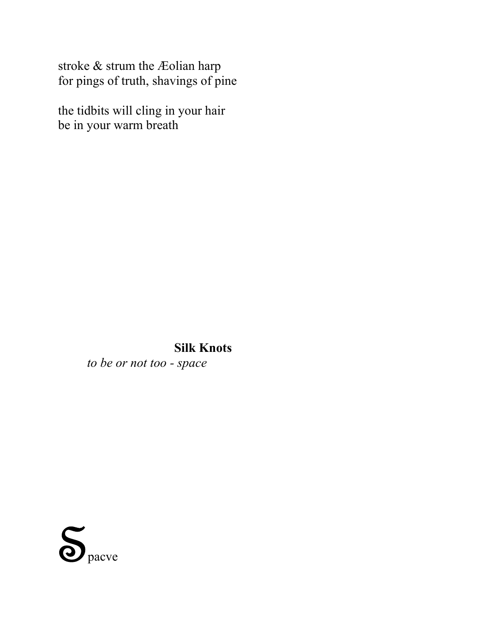stroke & strum the Æolian harp for pings of truth, shavings of pine

the tidbits will cling in your hair be in your warm breath

> **Silk Knots** *to be or not too - space*

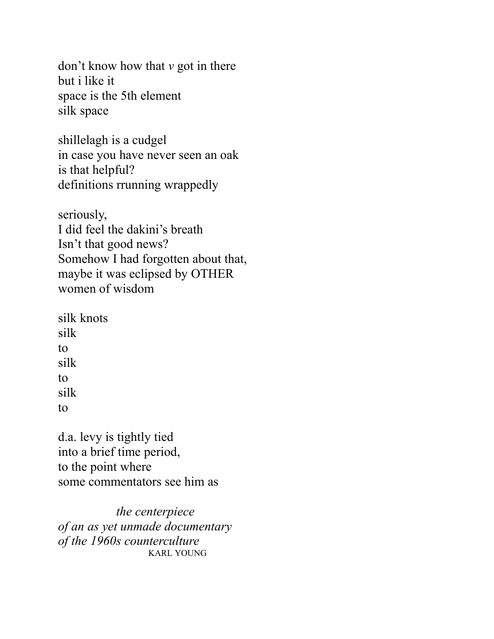don't know how that *v* got in there but i like it space is the 5th element silk space

shillelagh is a cudgel in case you have never seen an oak is that helpful? definitions rrunning wrappedly

seriously, I did feel the dakini's breath Isn't that good news? Somehow I had forgotten about that, maybe it was eclipsed by OTHER women of wisdom

silk knots silk to silk to silk to

d.a. levy is tightly tied into a brief time period, to the point where some commentators see him as

*the centerpiece of an as yet unmade documentary of the 1960s counterculture* KARL YOUNG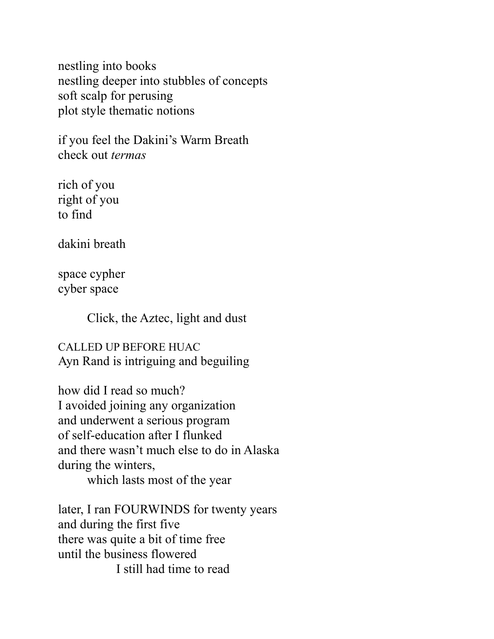nestling into books nestling deeper into stubbles of concepts soft scalp for perusing plot style thematic notions

if you feel the Dakini's Warm Breath check out *termas*

rich of you right of you to find

dakini breath

space cypher cyber space

Click, the Aztec, light and dust

CALLED UP BEFORE HUAC Ayn Rand is intriguing and beguiling

how did I read so much? I avoided joining any organization and underwent a serious program of self-education after I flunked and there wasn't much else to do in Alaska during the winters, which lasts most of the year

later, I ran FOURWINDS for twenty years and during the first five there was quite a bit of time free until the business flowered I still had time to read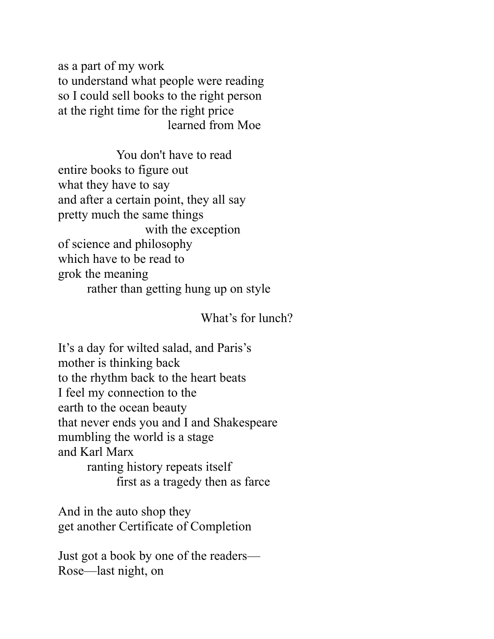as a part of my work to understand what people were reading so I could sell books to the right person at the right time for the right price learned from Moe

You don't have to read entire books to figure out what they have to say and after a certain point, they all say pretty much the same things with the exception of science and philosophy which have to be read to grok the meaning rather than getting hung up on style

What's for lunch?

It's a day for wilted salad, and Paris's mother is thinking back to the rhythm back to the heart beats I feel my connection to the earth to the ocean beauty that never ends you and I and Shakespeare mumbling the world is a stage and Karl Marx ranting history repeats itself first as a tragedy then as farce

And in the auto shop they get another Certificate of Completion

Just got a book by one of the readers— Rose—last night, on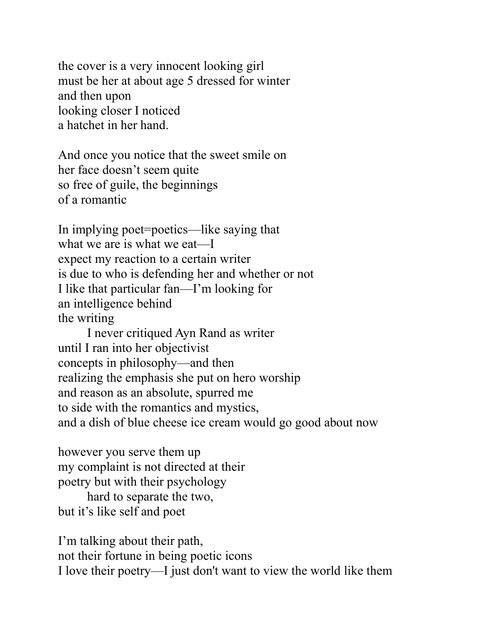the cover is a very innocent looking girl must be her at about age 5 dressed for winter and then upon looking closer I noticed a hatchet in her hand.

And once you notice that the sweet smile on her face doesn't seem quite so free of guile, the beginnings of a romantic

In implying poet=poetics—like saying that what we are is what we eat—I expect my reaction to a certain writer is due to who is defending her and whether or not I like that particular fan—I'm looking for an intelligence behind the writing

I never critiqued Ayn Rand as writer until I ran into her objectivist concepts in philosophy—and then realizing the emphasis she put on hero worship and reason as an absolute, spurred me to side with the romantics and mystics, and a dish of blue cheese ice cream would go good about now

however you serve them up my complaint is not directed at their poetry but with their psychology hard to separate the two, but it's like self and poet

I'm talking about their path, not their fortune in being poetic icons I love their poetry—I just don't want to view the world like them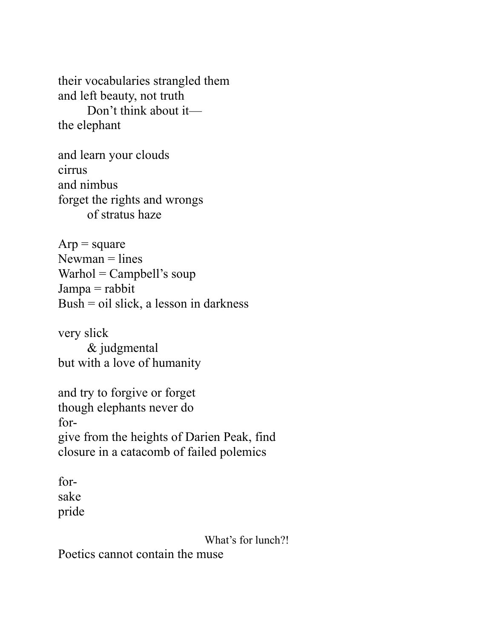their vocabularies strangled them and left beauty, not truth Don't think about it the elephant

and learn your clouds cirrus and nimbus forget the rights and wrongs of stratus haze

 $Arp = square$  $N$ ewman = lines  $Warhol = Campbell's soup$  $Jampa = rabbit$ Bush = oil slick, a lesson in darkness

very slick & judgmental but with a love of humanity

and try to forgive or forget though elephants never do forgive from the heights of Darien Peak, find closure in a catacomb of failed polemics

forsake pride

What's for lunch?!

Poetics cannot contain the muse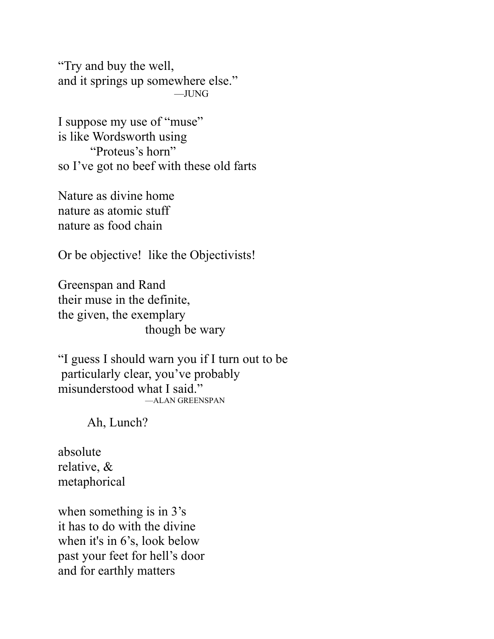"Try and buy the well, and it springs up somewhere else." —JUNG

I suppose my use of "muse" is like Wordsworth using "Proteus's horn" so I've got no beef with these old farts

Nature as divine home nature as atomic stuff nature as food chain

Or be objective! like the Objectivists!

Greenspan and Rand their muse in the definite, the given, the exemplary though be wary

"I guess I should warn you if I turn out to be particularly clear, you've probably misunderstood what I said." —ALAN GREENSPAN

Ah, Lunch?

absolute relative, & metaphorical

when something is in  $3's$ it has to do with the divine when it's in 6's, look below past your feet for hell's door and for earthly matters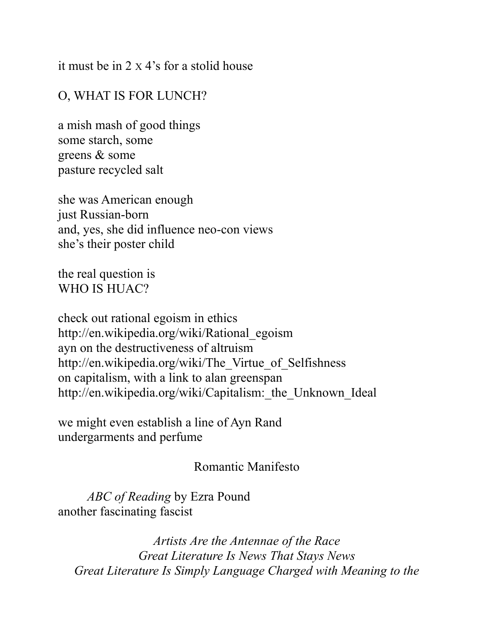it must be in 2 X 4's for a stolid house

## O, WHAT IS FOR LUNCH?

a mish mash of good things some starch, some greens & some pasture recycled salt

she was American enough just Russian-born and, yes, she did influence neo-con views she's their poster child

the real question is WHO IS HUAC?

check out rational egoism in ethics http://en.wikipedia.org/wiki/Rational\_egoism ayn on the destructiveness of altruism http://en.wikipedia.org/wiki/The\_Virtue\_of\_Selfishness on capitalism, with a link to alan greenspan http://en.wikipedia.org/wiki/Capitalism: the Unknown Ideal

we might even establish a line of Ayn Rand undergarments and perfume

### Romantic Manifesto

*ABC of Reading* by Ezra Pound another fascinating fascist

*Artists Are the Antennae of the Race Great Literature Is News That Stays News Great Literature Is Simply Language Charged with Meaning to the*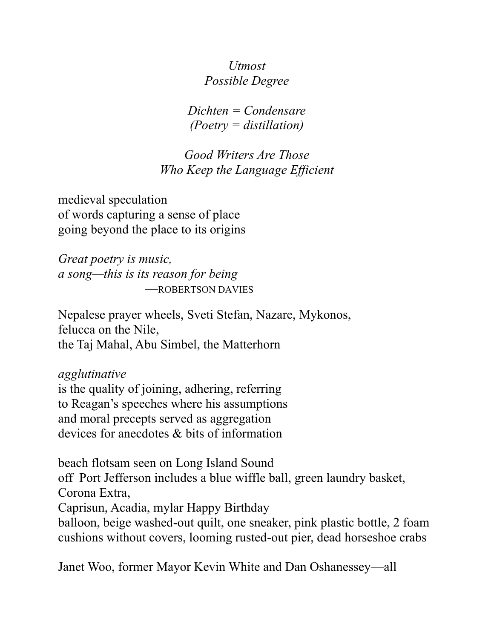*Utmost Possible Degree*

*Dichten = Condensare (Poetry = distillation)*

*Good Writers Are Those Who Keep the Language Efficient*

medieval speculation of words capturing a sense of place going beyond the place to its origins

*Great poetry is music, a song—this is its reason for being* —ROBERTSON DAVIES

Nepalese prayer wheels, Sveti Stefan, Nazare, Mykonos, felucca on the Nile, the Taj Mahal, Abu Simbel, the Matterhorn

*agglutinative*

is the quality of joining, adhering, referring to Reagan's speeches where his assumptions and moral precepts served as aggregation devices for anecdotes & bits of information

beach flotsam seen on Long Island Sound

off Port Jefferson includes a blue wiffle ball, green laundry basket, Corona Extra,

Caprisun, Acadia, mylar Happy Birthday

balloon, beige washed-out quilt, one sneaker, pink plastic bottle, 2 foam cushions without covers, looming rusted-out pier, dead horseshoe crabs

Janet Woo, former Mayor Kevin White and Dan Oshanessey—all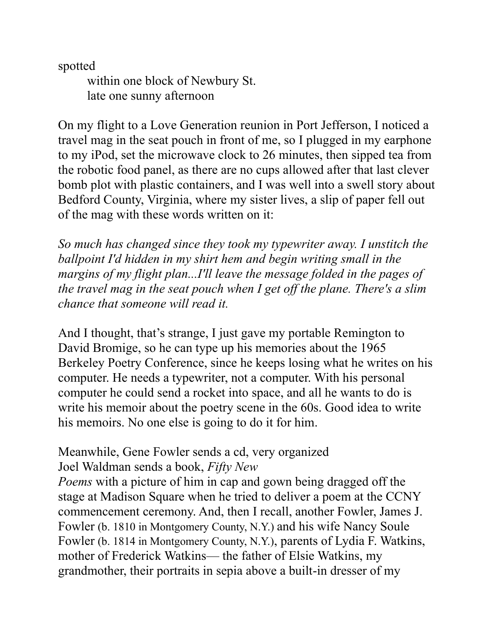spotted

within one block of Newbury St. late one sunny afternoon

On my flight to a Love Generation reunion in Port Jefferson, I noticed a travel mag in the seat pouch in front of me, so I plugged in my earphone to my iPod, set the microwave clock to 26 minutes, then sipped tea from the robotic food panel, as there are no cups allowed after that last clever bomb plot with plastic containers, and I was well into a swell story about Bedford County, Virginia, where my sister lives, a slip of paper fell out of the mag with these words written on it:

*So much has changed since they took my typewriter away. I unstitch the ballpoint I'd hidden in my shirt hem and begin writing small in the margins of my flight plan...I'll leave the message folded in the pages of the travel mag in the seat pouch when I get off the plane. There's a slim chance that someone will read it.*

And I thought, that's strange, I just gave my portable Remington to David Bromige, so he can type up his memories about the 1965 Berkeley Poetry Conference, since he keeps losing what he writes on his computer. He needs a typewriter, not a computer. With his personal computer he could send a rocket into space, and all he wants to do is write his memoir about the poetry scene in the 60s. Good idea to write his memoirs. No one else is going to do it for him.

#### Meanwhile, Gene Fowler sends a cd, very organized Joel Waldman sends a book, *Fifty New*

*Poems* with a picture of him in cap and gown being dragged off the stage at Madison Square when he tried to deliver a poem at the CCNY commencement ceremony. And, then I recall, another Fowler, James J. Fowler (b. 1810 in Montgomery County, N.Y.) and his wife Nancy Soule Fowler (b. 1814 in Montgomery County, N.Y.), parents of Lydia F. Watkins, mother of Frederick Watkins— the father of Elsie Watkins, my grandmother, their portraits in sepia above a built-in dresser of my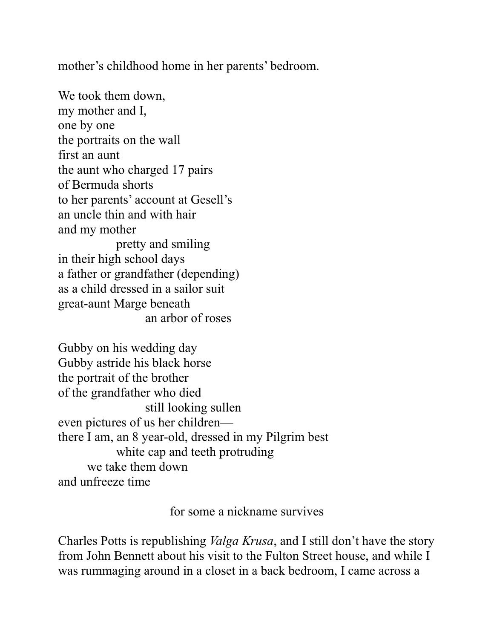mother's childhood home in her parents' bedroom.

We took them down, my mother and I, one by one the portraits on the wall first an aunt the aunt who charged 17 pairs of Bermuda shorts to her parents' account at Gesell's an uncle thin and with hair and my mother pretty and smiling in their high school days a father or grandfather (depending) as a child dressed in a sailor suit great-aunt Marge beneath an arbor of roses

Gubby on his wedding day Gubby astride his black horse the portrait of the brother of the grandfather who died still looking sullen even pictures of us her children there I am, an 8 year-old, dressed in my Pilgrim best white cap and teeth protruding we take them down and unfreeze time

for some a nickname survives

Charles Potts is republishing *Valga Krusa*, and I still don't have the story from John Bennett about his visit to the Fulton Street house, and while I was rummaging around in a closet in a back bedroom, I came across a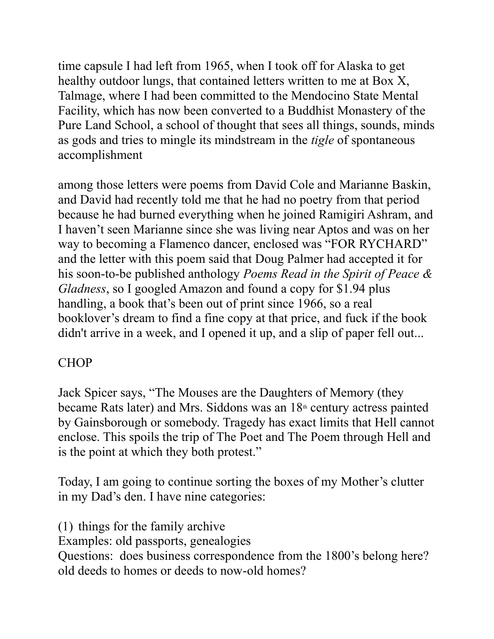time capsule I had left from 1965, when I took off for Alaska to get healthy outdoor lungs, that contained letters written to me at Box X, Talmage, where I had been committed to the Mendocino State Mental Facility, which has now been converted to a Buddhist Monastery of the Pure Land School, a school of thought that sees all things, sounds, minds as gods and tries to mingle its mindstream in the *tigle* of spontaneous accomplishment

among those letters were poems from David Cole and Marianne Baskin, and David had recently told me that he had no poetry from that period because he had burned everything when he joined Ramigiri Ashram, and I haven't seen Marianne since she was living near Aptos and was on her way to becoming a Flamenco dancer, enclosed was "FOR RYCHARD" and the letter with this poem said that Doug Palmer had accepted it for his soon-to-be published anthology *Poems Read in the Spirit of Peace & Gladness*, so I googled Amazon and found a copy for \$1.94 plus handling, a book that's been out of print since 1966, so a real booklover's dream to find a fine copy at that price, and fuck if the book didn't arrive in a week, and I opened it up, and a slip of paper fell out...

## **CHOP**

Jack Spicer says, "The Mouses are the Daughters of Memory (they became Rats later) and Mrs. Siddons was an  $18<sup>th</sup>$  century actress painted by Gainsborough or somebody. Tragedy has exact limits that Hell cannot enclose. This spoils the trip of The Poet and The Poem through Hell and is the point at which they both protest."

Today, I am going to continue sorting the boxes of my Mother's clutter in my Dad's den. I have nine categories:

(1) things for the family archive Examples: old passports, genealogies Questions: does business correspondence from the 1800's belong here? old deeds to homes or deeds to now-old homes?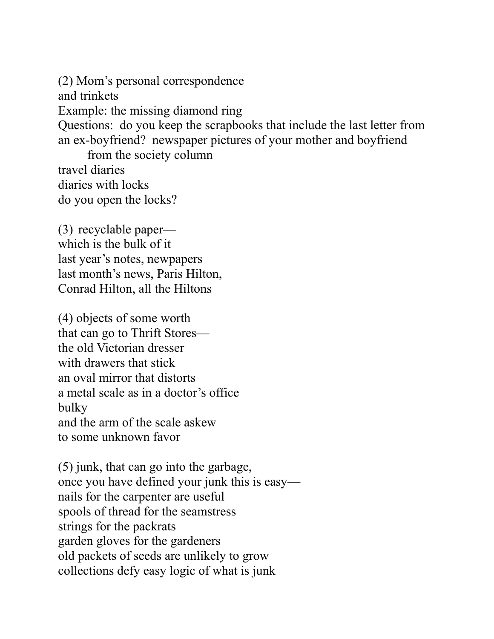(2) Mom's personal correspondence and trinkets Example: the missing diamond ring Questions: do you keep the scrapbooks that include the last letter from an ex-boyfriend? newspaper pictures of your mother and boyfriend from the society column travel diaries

diaries with locks do you open the locks?

(3) recyclable paper which is the bulk of it last year's notes, newpapers last month's news, Paris Hilton, Conrad Hilton, all the Hiltons

(4) objects of some worth that can go to Thrift Stores the old Victorian dresser with drawers that stick an oval mirror that distorts a metal scale as in a doctor's office bulky and the arm of the scale askew to some unknown favor

(5) junk, that can go into the garbage, once you have defined your junk this is easy nails for the carpenter are useful spools of thread for the seamstress strings for the packrats garden gloves for the gardeners old packets of seeds are unlikely to grow collections defy easy logic of what is junk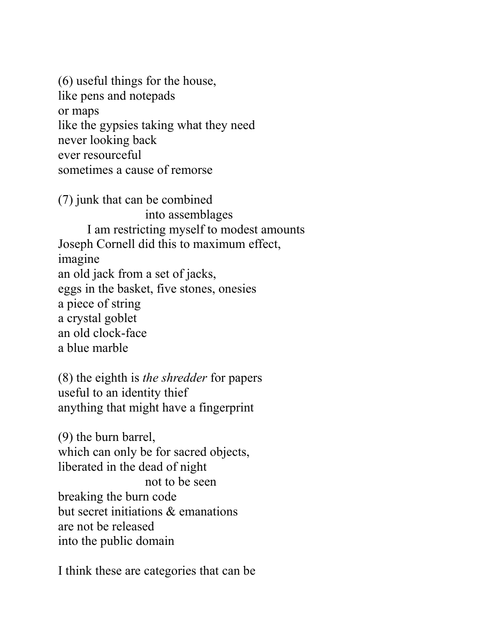(6) useful things for the house, like pens and notepads or maps like the gypsies taking what they need never looking back ever resourceful sometimes a cause of remorse

(7) junk that can be combined into assemblages I am restricting myself to modest amounts Joseph Cornell did this to maximum effect, imagine an old jack from a set of jacks, eggs in the basket, five stones, onesies a piece of string a crystal goblet an old clock-face a blue marble

(8) the eighth is *the shredder* for papers useful to an identity thief anything that might have a fingerprint

(9) the burn barrel, which can only be for sacred objects, liberated in the dead of night not to be seen breaking the burn code but secret initiations & emanations are not be released into the public domain

I think these are categories that can be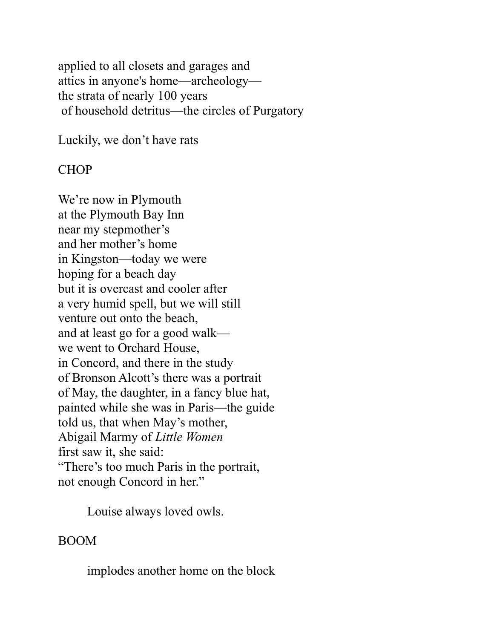applied to all closets and garages and attics in anyone's home—archeology the strata of nearly 100 years of household detritus—the circles of Purgatory

Luckily, we don't have rats

#### CHOP

We're now in Plymouth at the Plymouth Bay Inn near my stepmother's and her mother's home in Kingston—today we were hoping for a beach day but it is overcast and cooler after a very humid spell, but we will still venture out onto the beach, and at least go for a good walk we went to Orchard House, in Concord, and there in the study of Bronson Alcott's there was a portrait of May, the daughter, in a fancy blue hat, painted while she was in Paris—the guide told us, that when May's mother, Abigail Marmy of *Little Women* first saw it, she said: "There's too much Paris in the portrait, not enough Concord in her."

Louise always loved owls.

### BOOM

implodes another home on the block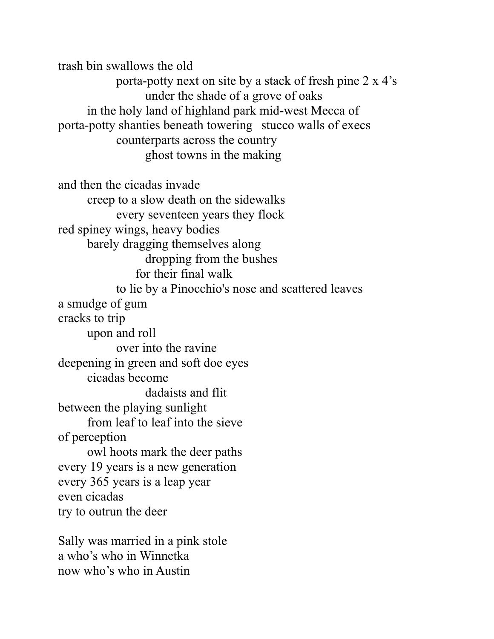trash bin swallows the old porta-potty next on site by a stack of fresh pine 2 x 4's under the shade of a grove of oaks in the holy land of highland park mid-west Mecca of porta-potty shanties beneath towering stucco walls of execs counterparts across the country ghost towns in the making

and then the cicadas invade creep to a slow death on the sidewalks every seventeen years they flock red spiney wings, heavy bodies barely dragging themselves along dropping from the bushes for their final walk to lie by a Pinocchio's nose and scattered leaves a smudge of gum cracks to trip upon and roll over into the ravine deepening in green and soft doe eyes cicadas become dadaists and flit between the playing sunlight from leaf to leaf into the sieve of perception owl hoots mark the deer paths every 19 years is a new generation every 365 years is a leap year even cicadas try to outrun the deer

Sally was married in a pink stole a who's who in Winnetka now who's who in Austin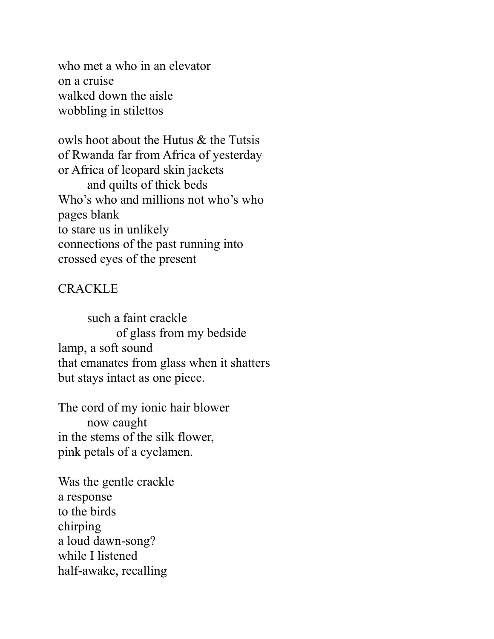who met a who in an elevator on a cruise walked down the aisle wobbling in stilettos

owls hoot about the Hutus & the Tutsis of Rwanda far from Africa of yesterday or Africa of leopard skin jackets and quilts of thick beds Who's who and millions not who's who pages blank to stare us in unlikely connections of the past running into crossed eyes of the present

#### CRACKLE

such a faint crackle of glass from my bedside lamp, a soft sound that emanates from glass when it shatters but stays intact as one piece.

The cord of my ionic hair blower now caught in the stems of the silk flower, pink petals of a cyclamen.

Was the gentle crackle a response to the birds chirping a loud dawn-song? while I listened half-awake, recalling